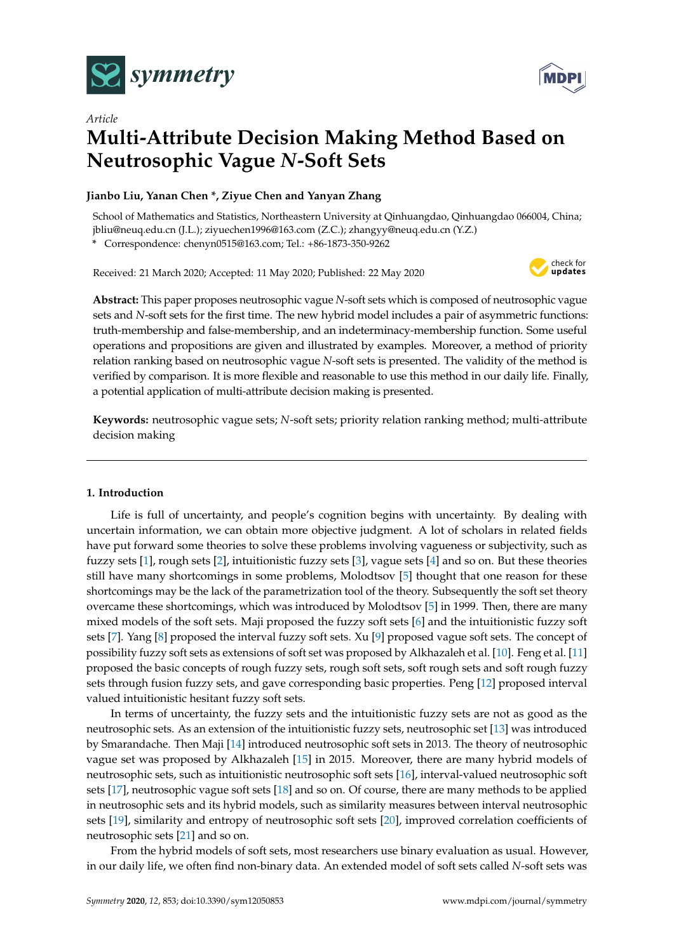



# *Article* **Multi-Attribute Decision Making Method Based on Neutrosophic Vague** *N***-Soft Sets**

# **Jianbo Liu, Yanan Chen \*, Ziyue Chen and Yanyan Zhang**

School of Mathematics and Statistics, Northeastern University at Qinhuangdao, Qinhuangdao 066004, China; jbliu@neuq.edu.cn (J.L.); ziyuechen1996@163.com (Z.C.); zhangyy@neuq.edu.cn (Y.Z.)

**\*** Correspondence: chenyn0515@163.com; Tel.: +86-1873-350-9262

Received: 21 March 2020; Accepted: 11 May 2020; Published: 22 May 2020



**Abstract:** This paper proposes neutrosophic vague *N*-soft sets which is composed of neutrosophic vague sets and *N*-soft sets for the first time. The new hybrid model includes a pair of asymmetric functions: truth-membership and false-membership, and an indeterminacy-membership function. Some useful operations and propositions are given and illustrated by examples. Moreover, a method of priority relation ranking based on neutrosophic vague *N*-soft sets is presented. The validity of the method is verified by comparison. It is more flexible and reasonable to use this method in our daily life. Finally, a potential application of multi-attribute decision making is presented.

**Keywords:** neutrosophic vague sets; *N*-soft sets; priority relation ranking method; multi-attribute decision making

## **1. Introduction**

Life is full of uncertainty, and people's cognition begins with uncertainty. By dealing with uncertain information, we can obtain more objective judgment. A lot of scholars in related fields have put forward some theories to solve these problems involving vagueness or subjectivity, such as fuzzy sets [\[1\]](#page-18-0), rough sets [\[2\]](#page-18-1), intuitionistic fuzzy sets [\[3\]](#page-18-2), vague sets [\[4\]](#page-18-3) and so on. But these theories still have many shortcomings in some problems, Molodtsov [\[5\]](#page-18-4) thought that one reason for these shortcomings may be the lack of the parametrization tool of the theory. Subsequently the soft set theory overcame these shortcomings, which was introduced by Molodtsov [\[5\]](#page-18-4) in 1999. Then, there are many mixed models of the soft sets. Maji proposed the fuzzy soft sets [\[6\]](#page-18-5) and the intuitionistic fuzzy soft sets [\[7\]](#page-18-6). Yang [\[8\]](#page-18-7) proposed the interval fuzzy soft sets. Xu [\[9\]](#page-18-8) proposed vague soft sets. The concept of possibility fuzzy soft sets as extensions of soft set was proposed by Alkhazaleh et al. [\[10\]](#page-18-9). Feng et al. [\[11\]](#page-18-10) proposed the basic concepts of rough fuzzy sets, rough soft sets, soft rough sets and soft rough fuzzy sets through fusion fuzzy sets, and gave corresponding basic properties. Peng [\[12\]](#page-18-11) proposed interval valued intuitionistic hesitant fuzzy soft sets.

In terms of uncertainty, the fuzzy sets and the intuitionistic fuzzy sets are not as good as the neutrosophic sets. As an extension of the intuitionistic fuzzy sets, neutrosophic set [\[13\]](#page-18-12) was introduced by Smarandache. Then Maji [\[14\]](#page-18-13) introduced neutrosophic soft sets in 2013. The theory of neutrosophic vague set was proposed by Alkhazaleh [\[15\]](#page-18-14) in 2015. Moreover, there are many hybrid models of neutrosophic sets, such as intuitionistic neutrosophic soft sets [\[16\]](#page-18-15), interval-valued neutrosophic soft sets [\[17\]](#page-18-16), neutrosophic vague soft sets [\[18\]](#page-18-17) and so on. Of course, there are many methods to be applied in neutrosophic sets and its hybrid models, such as similarity measures between interval neutrosophic sets [\[19\]](#page-18-18), similarity and entropy of neutrosophic soft sets [\[20\]](#page-18-19), improved correlation coefficients of neutrosophic sets [\[21\]](#page-18-20) and so on.

From the hybrid models of soft sets, most researchers use binary evaluation as usual. However, in our daily life, we often find non-binary data. An extended model of soft sets called *N*-soft sets was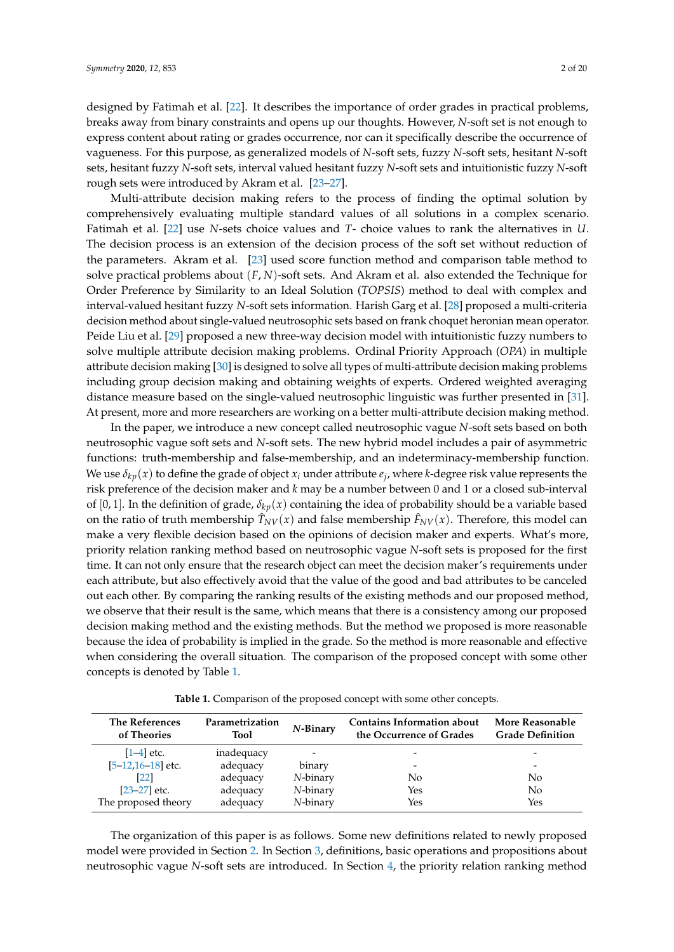designed by Fatimah et al. [\[22\]](#page-19-0). It describes the importance of order grades in practical problems, breaks away from binary constraints and opens up our thoughts. However, *N*-soft set is not enough to express content about rating or grades occurrence, nor can it specifically describe the occurrence of vagueness. For this purpose, as generalized models of *N*-soft sets, fuzzy *N*-soft sets, hesitant *N*-soft sets, hesitant fuzzy *N*-soft sets, interval valued hesitant fuzzy *N*-soft sets and intuitionistic fuzzy *N*-soft rough sets were introduced by Akram et al. [\[23](#page-19-1)[–27\]](#page-19-2).

Multi-attribute decision making refers to the process of finding the optimal solution by comprehensively evaluating multiple standard values of all solutions in a complex scenario. Fatimah et al. [\[22\]](#page-19-0) use *N*-sets choice values and *T*- choice values to rank the alternatives in *U*. The decision process is an extension of the decision process of the soft set without reduction of the parameters. Akram et al. [\[23\]](#page-19-1) used score function method and comparison table method to solve practical problems about (*F*, *N*)-soft sets. And Akram et al. also extended the Technique for Order Preference by Similarity to an Ideal Solution (*TOPSIS*) method to deal with complex and interval-valued hesitant fuzzy *N*-soft sets information. Harish Garg et al. [\[28\]](#page-19-3) proposed a multi-criteria decision method about single-valued neutrosophic sets based on frank choquet heronian mean operator. Peide Liu et al. [\[29\]](#page-19-4) proposed a new three-way decision model with intuitionistic fuzzy numbers to solve multiple attribute decision making problems. Ordinal Priority Approach (*OPA*) in multiple attribute decision making [\[30\]](#page-19-5) is designed to solve all types of multi-attribute decision making problems including group decision making and obtaining weights of experts. Ordered weighted averaging distance measure based on the single-valued neutrosophic linguistic was further presented in [\[31\]](#page-19-6). At present, more and more researchers are working on a better multi-attribute decision making method.

In the paper, we introduce a new concept called neutrosophic vague *N*-soft sets based on both neutrosophic vague soft sets and *N*-soft sets. The new hybrid model includes a pair of asymmetric functions: truth-membership and false-membership, and an indeterminacy-membership function. We use  $\delta_{kp}(x)$  to define the grade of object  $x_i$  under attribute  $e_j$ , where *k*-degree risk value represents the risk preference of the decision maker and *k* may be a number between 0 and 1 or a closed sub-interval of [0, 1]. In the definition of grade,  $\delta_{kn}(x)$  containing the idea of probability should be a variable based on the ratio of truth membership  $\hat{T}_{NV}(x)$  and false membership  $\hat{F}_{NV}(x)$ . Therefore, this model can make a very flexible decision based on the opinions of decision maker and experts. What's more, priority relation ranking method based on neutrosophic vague *N*-soft sets is proposed for the first time. It can not only ensure that the research object can meet the decision maker's requirements under each attribute, but also effectively avoid that the value of the good and bad attributes to be canceled out each other. By comparing the ranking results of the existing methods and our proposed method, we observe that their result is the same, which means that there is a consistency among our proposed decision making method and the existing methods. But the method we proposed is more reasonable because the idea of probability is implied in the grade. So the method is more reasonable and effective when considering the overall situation. The comparison of the proposed concept with some other concepts is denoted by Table [1.](#page-1-0)

| <b>Table 1.</b> Comparison of the proposed concept with some other concepts. |
|------------------------------------------------------------------------------|
|------------------------------------------------------------------------------|

<span id="page-1-0"></span>

| <b>The References</b><br>of Theories | Parametrization<br><b>Tool</b> | $N$ -Binary | <b>Contains Information about</b><br>the Occurrence of Grades | More Reasonable<br><b>Grade Definition</b> |
|--------------------------------------|--------------------------------|-------------|---------------------------------------------------------------|--------------------------------------------|
| $[1-4]$ etc.                         | inadequacy                     |             | $\overline{\phantom{0}}$                                      |                                            |
| $[5 - 12, 16 - 18]$ etc.             | adequacy                       | binary      | -                                                             | $\overline{\phantom{0}}$                   |
| [22]                                 | adequacy                       | N-binary    | No                                                            | No                                         |
| $[23-27]$ etc.                       | adequacy                       | N-binary    | Yes                                                           | No                                         |
| The proposed theory                  | adequacy                       | N-binary    | Yes                                                           | Yes                                        |

The organization of this paper is as follows. Some new definitions related to newly proposed model were provided in Section [2.](#page-2-0) In Section [3,](#page-3-0) definitions, basic operations and propositions about neutrosophic vague *N*-soft sets are introduced. In Section [4,](#page-11-0) the priority relation ranking method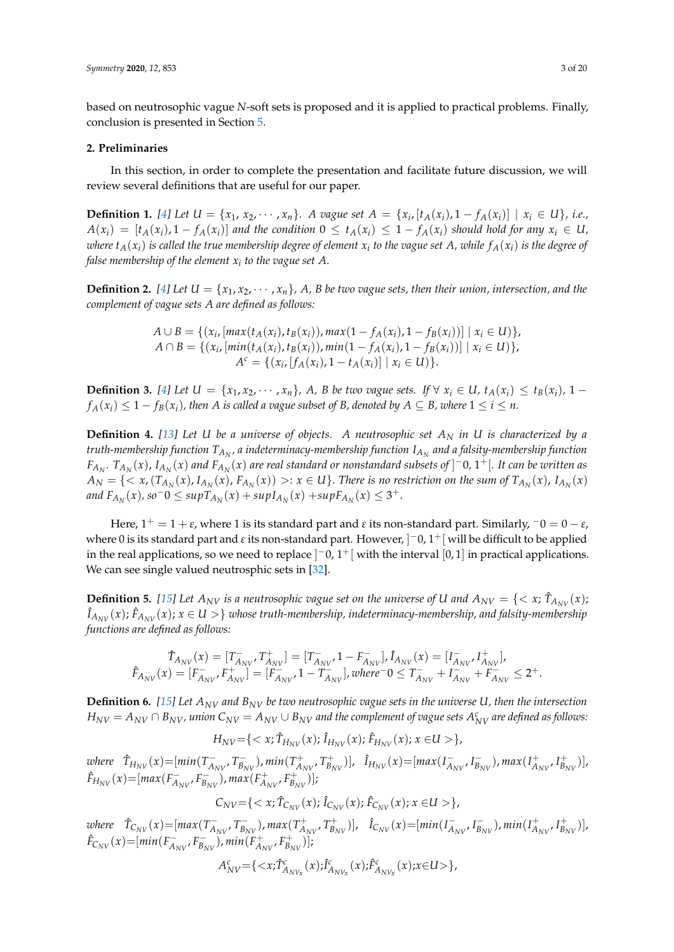based on neutrosophic vague *N*-soft sets is proposed and it is applied to practical problems. Finally, conclusion is presented in Section [5.](#page-17-0)

### <span id="page-2-0"></span>**2. Preliminaries**

In this section, in order to complete the presentation and facilitate future discussion, we will review several definitions that are useful for our paper.

**Definition 1.** [\[4\]](#page-18-3) Let  $U = \{x_1, x_2, \dots, x_n\}$ . A vague set  $A = \{x_i, [t_A(x_i), 1 - f_A(x_i)] \mid x_i \in U\}$ , i.e.,  $A(x_i) = [t_A(x_i), 1 - f_A(x_i)]$  and the condition  $0 \le t_A(x_i) \le 1 - f_A(x_i)$  should hold for any  $x_i \in U$ ,  $x_i$  *to the vague of*  $A(x_i)$  *is called the true membership degree of element*  $x_i$  *to the vague set*  $A$ *, while*  $f_A(x_i)$  *is the degree of false membership of the element x<sup>i</sup> to the vague set A.*

**Definition 2.** [\[4\]](#page-18-3) Let  $U = \{x_1, x_2, \dots, x_n\}$ , A, B be two vague sets, then their union, intersection, and the *complement of vague sets A are defined as follows:*

$$
A \cup B = \{ (x_i, [max(t_A(x_i), t_B(x_i)), max(1 - f_A(x_i), 1 - f_B(x_i))] \mid x_i \in U) \},
$$
  
\n
$$
A \cap B = \{ (x_i, [min(t_A(x_i), t_B(x_i)), min(1 - f_A(x_i), 1 - f_B(x_i))] \mid x_i \in U) \},
$$
  
\n
$$
A^c = \{ (x_i, [f_A(x_i), 1 - t_A(x_i)] \mid x_i \in U) \}.
$$

**Definition 3.** [\[4\]](#page-18-3) Let  $U = \{x_1, x_2, \dots, x_n\}$ , A, B be two vague sets. If  $\forall x_i \in U$ ,  $t_A(x_i) \le t_B(x_i)$ , 1 –  $f_A(x_i) \leq 1 - f_B(x_i)$ , then A is called a vague subset of B, denoted by  $A \subseteq B$ , where  $1 \leq i \leq n$ .

**Definition 4.** *[\[13\]](#page-18-12) Let U be a universe of objects. A neutrosophic set A<sup>N</sup> in U is characterized by a truth-membership function TA<sup>N</sup> , a indeterminacy-membership function IA<sup>N</sup> and a falsity-membership function*  $F_{A_N}$ .  $T_{A_N}(x)$ ,  $I_{A_N}(x)$  and  $F_{A_N}(x)$  are real standard or nonstandard subsets of  $]$   $^-0$ ,  $1^+[$ . It can be written as  $A_N=\{<\mathit{x}$ ,  $(T_{A_N}(x),I_{A_N}(x),F_{A_N}(x))>:x\in U\}.$  There is no restriction on the sum of  $T_{A_N}(x)$ ,  $I_{A_N}(x)$ *and*  $F_{A_N}(x)$ , so<sup>−</sup>0 ≤ sup $T_{A_N}(x)$  + sup $I_{A_N}(x)$  + sup $F_{A_N}(x)$  ≤ 3<sup>+</sup>.

Here,  $1^+ = 1 + \varepsilon$ , where 1 is its standard part and  $\varepsilon$  its non-standard part. Similarly,  $^-0 = 0 - \varepsilon$ , where 0 is its standard part and  $\varepsilon$  its non-standard part. However,  $]$   $^-$  0,  $1^+ [$  will be difficult to be applied in the real applications, so we need to replace  $]$   $^-0$ ,  $1^+$   $[$  with the interval  $[0,1]$  in practical applications. We can see single valued neutrosphic sets in [\[32\]](#page-19-7).

**Definition 5.** [\[15\]](#page-18-14) Let  $A_{NV}$  is a neutrosophic vague set on the universe of U and  $A_{NV} = \{ < x; \hat{T}_{A_{NV}}(x) \}$  $\hat{I}_{A_{NV}}(x)$ ;  $\hat{F}_{A_{NV}}(x)$ ;  $x\in U>\}$  whose truth-membership, indeterminacy-membership, and falsity-membership *functions are defined as follows:*

$$
\hat{T}_{A_{NV}}(x)=[T_{A_{NV} }^- ,T_{A_{NV} }^+ ]=[T_{A_{NV} }^- ,1-F_{A_{NV} }^- ] ,\hat{I}_{A_{NV} }(x)=[I_{A_{NV} }^- ,I_{A_{NV} }^+ ],\\\hat{F}_{A_{NV} }(x)=[F_{A_{NV} }^- ,F_{A_{NV} }^+ ]=[F_{A_{NV} }^- ,1-T_{A_{NV} }^- ] ,where \nonumber\\ 0\leq T_{A_{NV} }^- +T_{A_{NV} }^- +T_{A_{NV} }^- \leq 2^+ .
$$

**Definition 6.** *[\[15\]](#page-18-14) Let ANV and BNV be two neutrosophic vague sets in the universe U, then the intersection*  $H_{NV}=A_{NV}\cap B_{NV}$  , union  $C_{NV}=A_{NV}\cup B_{NV}$  and the complement of vague sets  $A_{NV}^c$  are defined as follows:

 $H_{NV} = \{ \langle x; \hat{T}_{H_{NV}}(x); \hat{I}_{H_{NV}}(x); \hat{F}_{H_{NV}}(x); x \in U \rangle \}$ 

 $where \quad \hat{T}_{H_{NV}}(x) = [min(T_A)]$ *A*<sup>*NV*</sup>*<i>T*<sub>B</sub><sup>*n*</sup><sub>B<sub>1</sub></sub> *BNV* ), *min*(*T* + *ANV* , *T* +  $\hat{I}_{B_{NV}}^+$ )],  $\hat{I}_{H_{NV}}(x) = [max(I_A^-)]$  $\overline{A}_{NV}$ ,  $I_{Bj}^ \bar{B}_{NV}^-$ ), max $(I_A^+)$  $A_{NV}^{+}$ ,  $I_{B_{i}}^{+}$  $\binom{+}{B_{NV}}$  $\hat{F}_{H_{NV}}(x) = [max(F_A^{-})]$  $\overline{A_{NV}}$ ,  $F_{B_N}^ \overline{B_{NV}}$ ),  $max(F_A^+)$  $A_{NV}^+$ ,  $F_{B_l}^+$  $\binom{m+1}{B_{NV}}$  )];

 $C_{NV} = \{ \langle x; \hat{T}_{C_{NV}}(x); \hat{I}_{C_{NV}}(x); \hat{F}_{C_{NV}}(x); x \in U \rangle \}$ 

 $\hat{T}_{C_{NV}}(x) = [max(T_A^{-1})]$ *A*<sub>*NV</sub>*, *T*<sub>*B*<sup>*I*</sup></sub></sub> *BNV* ), *max*(*T* + *ANV* , *T* +  $\hat{I}_{C_{NV}}^{\dagger}$ )],  $\hat{I}_{C_{NV}}^{\dagger}(x) = [min(I_A^{-1})]$  $\overline{A}_{NV}$ ,  $I_{Bj}^ \bar{B}_{NV}^-$ ), min $(I_A^+)$  $A_{NV}^{+}$ ,  $I_{B_{i}}^{+}$  $\binom{+}{B_{NV}}$  $\hat{F}_{C_{NV}}(x) = [min(F_A^-)]$  $\overline{A_{NV}}$ ,  $F_{B_N}^ \sum_{B_{NV}}$ ),  $min(F_A^+)$  $A_{NV}^+$ ,  $F_{B_l}^+$  $\binom{m+1}{B_{NV}}$  )];

$$
A_{NV}^c = \{ \langle x; \hat{T}_{A_{NV_x}}^c(x); \hat{I}_{A_{NV_x}}^c(x); \hat{F}_{A_{NV_x}}^c(x); x \in U \rangle \},\
$$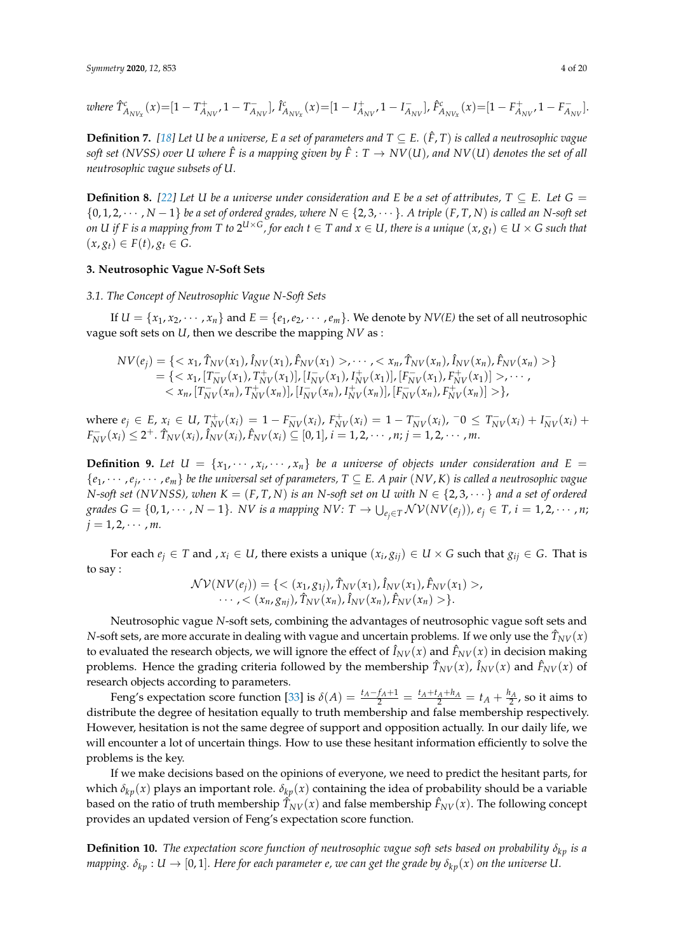where 
$$
\hat{T}_{A_{NV_x}}^c(x) = [1 - T_{A_{NV}}^+ 1 - T_{A_{NV}}^-]
$$
,  $\hat{I}_{A_{NV_x}}^c(x) = [1 - I_{A_{NV}}^+ 1 - I_{A_{NV}}^-]$ ,  $\hat{F}_{A_{NV_x}}^c(x) = [1 - F_{A_{NV}}^+ 1 - F_{A_{NV}}^-]$ .

**Definition 7.** [\[18\]](#page-18-17) Let *U* be a universe, *E* a set of parameters and  $T \subseteq E$ . ( $\hat{F}$ , *T*) is called a neutrosophic vague *soft set (NVSS) over U where*  $\hat{F}$  *is a mapping given by*  $\hat{F}: T \to NV(U)$ *, and NV(U) denotes the set of all neutrosophic vague subsets of U.*

**Definition 8.** [\[22\]](#page-19-0) Let U be a universe under consideration and E be a set of attributes,  $T \subseteq E$ . Let  $G =$  $\{0, 1, 2, \cdots, N-1\}$  *be a set of ordered grades, where*  $N \in \{2, 3, \cdots\}$ *. A triple*  $(F, T, N)$  *is called an N-soft set* on U if F is a mapping from T to  $2^{U\times G}$ , for each  $t\in T$  and  $x\in U$ , there is a unique  $(x,g_t)\in U\times G$  such that  $(x, g_t)$  ∈  $F(t)$ ,  $g_t$  ∈ *G*.

## <span id="page-3-0"></span>**3. Neutrosophic Vague** *N***-Soft Sets**

*3.1. The Concept of Neutrosophic Vague N-Soft Sets*

If  $U = \{x_1, x_2, \dots, x_n\}$  and  $E = \{e_1, e_2, \dots, e_m\}$ . We denote by  $NV(E)$  the set of all neutrosophic vague soft sets on *U*, then we describe the mapping *NV* as :

$$
NV(e_j) = \{ \langle x_1, \hat{T}_{NV}(x_1), \hat{I}_{NV}(x_1), \hat{F}_{NV}(x_1) \rangle, \dots, \langle x_n, \hat{T}_{NV}(x_n), \hat{I}_{NV}(x_n), \hat{F}_{NV}(x_n) \rangle \} = \{ \langle x_1, [\hat{T}_{NV}(x_1), \hat{T}_{NV}(x_1)], [\hat{I}_{NV}(x_1), \hat{I}_{NV}(x_1)], [\hat{F}_{NV}(x_1), \hat{F}_{NV}(x_1)] \rangle, \dots, \langle x_n, [\hat{T}_{NV}(x_n), \hat{T}_{NV}(x_n)], [\hat{I}_{NV}(x_n), \hat{I}_{NV}(x_n)], [\hat{F}_{NV}(x_n), \hat{F}_{NV}(x_n)] \rangle \},
$$

where  $e_j \in E$ ,  $x_i \in U$ ,  $T_{NV}^+(x_i) = 1 - F_{NV}^-(x_i)$ ,  $F_{NV}^+(x_i) = 1 - T_{NV}^-(x_i)$ ,  $-0 \leq T_{NV}^-(x_i) + I_{NV}^-(x_i) +$  $F_{NV}^-(x_i) \leq 2^+$ .  $\hat{T}_{NV}(x_i)$ ,  $\hat{I}_{NV}(x_i)$ ,  $\hat{F}_{NV}(x_i) \subseteq [0,1]$ ,  $i = 1,2,\cdots,n$ ;  $j = 1,2,\cdots,m$ .

**Definition 9.** Let  $U = \{x_1, \dots, x_i, \dots, x_n\}$  be a universe of objects under consideration and  $E =$ {*e*1, · · · ,*e<sup>j</sup>* , · · · ,*em*} *be the universal set of parameters, T* ⊆ *E. A pair* (*NV*, *K*) *is called a neutrosophic vague N*-soft set (NVNSS), when  $K = (F, T, N)$  is an *N*-soft set on *U* with  $N \in \{2, 3, \dots\}$  and a set of ordered grades  $G=\{0,1,\cdots,N-1\}.$   $NV$  is a mapping  $NV{:}$   $T\to\bigcup_{e_j\in T}{\cal N}{\cal V}(NV(e_j)),$   $e_j\in T$ ,  $i=1,2,\cdots,n;$  $j = 1, 2, \cdots, m$ .

For each  $e_j \in T$  and ,  $x_i \in U$ , there exists a unique  $(x_i, g_{ij}) \in U \times G$  such that  $g_{ij} \in G$ . That is to say :

$$
\mathcal{NV}(NV(e_j)) = \{ \langle (x_1, g_{1j}), \hat{T}_{NV}(x_1), \hat{I}_{NV}(x_1), \hat{F}_{NV}(x_1) \rangle, \\ \cdots, \langle (x_n, g_{nj}), \hat{T}_{NV}(x_n), \hat{I}_{NV}(x_n), \hat{F}_{NV}(x_n) \rangle \}.
$$

Neutrosophic vague *N*-soft sets, combining the advantages of neutrosophic vague soft sets and *N*-soft sets, are more accurate in dealing with vague and uncertain problems. If we only use the  $\hat{T}_{NV}(x)$ to evaluated the research objects, we will ignore the effect of  $\hat{I}_{NV}(x)$  and  $\hat{F}_{NV}(x)$  in decision making problems. Hence the grading criteria followed by the membership  $\hat{T}_{NV}(x)$ ,  $\hat{I}_{NV}(x)$  and  $\hat{F}_{NV}(x)$  of research objects according to parameters.

Feng's expectation score function [\[33\]](#page-19-8) is  $\delta(A) = \frac{t_A - f_A + 1}{2} = \frac{t_A + t_A + h_A}{2} = t_A + \frac{h_A}{2}$ , so it aims to distribute the degree of hesitation equally to truth membership and false membership respectively. However, hesitation is not the same degree of support and opposition actually. In our daily life, we will encounter a lot of uncertain things. How to use these hesitant information efficiently to solve the problems is the key.

If we make decisions based on the opinions of everyone, we need to predict the hesitant parts, for which  $\delta_{kp}(x)$  plays an important role.  $\delta_{kp}(x)$  containing the idea of probability should be a variable based on the ratio of truth membership  $\hat{T}_{NV}(x)$  and false membership  $\hat{F}_{NV}(x)$ . The following concept provides an updated version of Feng's expectation score function.

**Definition 10.** *The expectation score function of neutrosophic vague soft sets based on probability*  $\delta_{kp}$  *is a mapping.*  $\delta_{kp}$  :  $U \to [0, 1]$ . Here for each parameter e, we can get the grade by  $\delta_{kp}(x)$  on the universe U.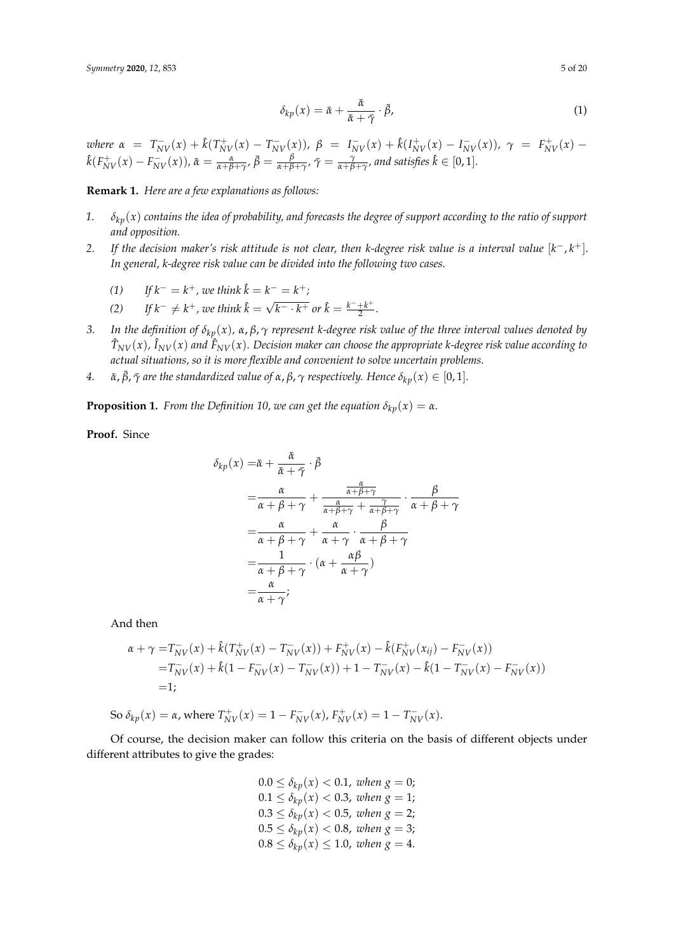$$
\delta_{kp}(x) = \bar{\alpha} + \frac{\bar{\alpha}}{\bar{\alpha} + \bar{\gamma}} \cdot \bar{\beta},\tag{1}
$$

where  $\alpha = T_{NV}^-(x) + \hat{k}(T_{NV}^+(x) - T_{NV}^-(x))$ ,  $\beta = I_{NV}^-(x) + \hat{k}(I_{NV}^+(x) - I_{NV}^-(x))$ ,  $\gamma = F_{NV}^+(x) \hat{k}(F_{NV}^+(x)-F_{NV}^-(x)),\bar{\alpha}=\frac{\alpha}{\alpha+\beta+\gamma},\bar{\beta}=\frac{\beta}{\alpha+\beta+\gamma},\bar{\gamma}=\frac{\gamma}{\alpha+\beta+\gamma},$  and satisfies  $\hat{k}\in[0,1].$ 

**Remark 1.** *Here are a few explanations as follows:*

- *1. δkp*(*x*) *contains the idea of probability, and forecasts the degree of support according to the ratio of support and opposition.*
- 2. If the decision maker's risk attitude is not clear, then *k*-degree risk value is a interval value  $[k^-, k^+]$ . *In general, k-degree risk value can be divided into the following two cases.*
	- *(1) If*  $k^- = k^+$ *, we think*  $\hat{k} = k^- = k^+$ *;*
	- *(2) If*  $k^- \neq k^+$ , we think  $\hat{k} = \sqrt{k^- \cdot k^+}$  or  $\hat{k} = \frac{k^- + k^+}{2}$  $\frac{+\kappa}{2}$ .
- *3. In the definition of δkp*(*x*)*, α*, *β*, *γ represent k-degree risk value of the three interval values denoted by*  $\hat{T}_{NV}(x)$ ,  $\hat{I}_{NV}(x)$  and  $\hat{F}_{NV}(x)$ . Decision maker can choose the appropriate k-degree risk value according to *actual situations, so it is more flexible and convenient to solve uncertain problems.*
- *4.*  $\alpha$ ,  $\bar{\beta}$ ,  $\bar{\gamma}$  are the standardized value of  $\alpha$ ,  $\beta$ ,  $\gamma$  respectively. Hence  $\delta_{kp}(x) \in [0,1]$ .

**Proposition 1.** *From the Definition 10, we can get the equation*  $\delta_{kp}(x) = \alpha$ *.* 

**Proof.** Since

$$
\delta_{kp}(x) = \bar{\alpha} + \frac{\bar{\alpha}}{\bar{\alpha} + \bar{\gamma}} \cdot \bar{\beta}
$$
\n
$$
= \frac{\alpha}{\alpha + \beta + \gamma} + \frac{\frac{\alpha}{\alpha + \beta + \gamma}}{\frac{\alpha}{\alpha + \beta + \gamma} + \frac{\gamma}{\alpha + \beta + \gamma}} \cdot \frac{\beta}{\alpha + \beta + \gamma}
$$
\n
$$
= \frac{\alpha}{\alpha + \beta + \gamma} + \frac{\alpha}{\alpha + \gamma} \cdot \frac{\beta}{\alpha + \beta + \gamma}
$$
\n
$$
= \frac{1}{\alpha + \beta + \gamma} \cdot (\alpha + \frac{\alpha \beta}{\alpha + \gamma})
$$
\n
$$
= \frac{\alpha}{\alpha + \gamma};
$$

And then

$$
\alpha + \gamma = T_{NV}^{-}(x) + \hat{k}(T_{NV}^{+}(x) - T_{NV}^{-}(x)) + F_{NV}^{+}(x) - \hat{k}(F_{NV}^{+}(x_{ij}) - F_{NV}^{-}(x))
$$
  
=  $T_{NV}^{-}(x) + \hat{k}(1 - F_{NV}^{-}(x) - T_{NV}^{-}(x)) + 1 - T_{NV}^{-}(x) - \hat{k}(1 - T_{NV}^{-}(x) - F_{NV}^{-}(x))$   
= 1;

So  $\delta_{kp}(x) = \alpha$ , where  $T_{NV}^+(x) = 1 - F_{NV}^-(x)$ ,  $F_{NV}^+(x) = 1 - T_{NV}^-(x)$ .

Of course, the decision maker can follow this criteria on the basis of different objects under different attributes to give the grades:

$$
0.0 \le \delta_{kp}(x) < 0.1, \text{ when } g = 0; \\
0.1 \le \delta_{kp}(x) < 0.3, \text{ when } g = 1; \\
0.3 \le \delta_{kp}(x) < 0.5, \text{ when } g = 2; \\
0.5 \le \delta_{kp}(x) < 0.8, \text{ when } g = 3; \\
0.8 \le \delta_{kp}(x) \le 1.0, \text{ when } g = 4.
$$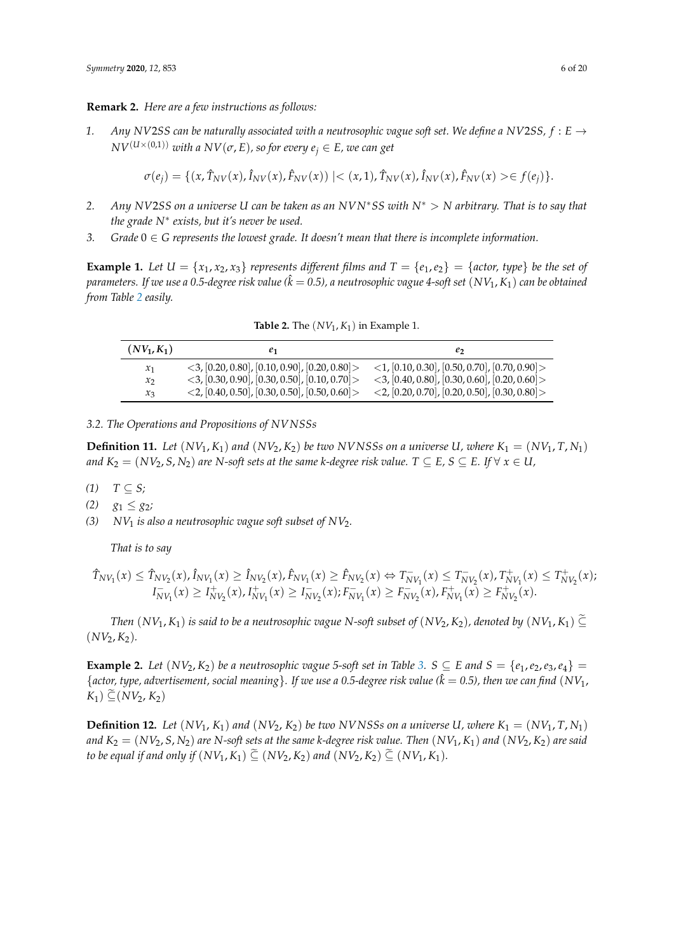#### **Remark 2.** *Here are a few instructions as follows:*

*1. Any NV2SS can be naturally associated with a neutrosophic vague soft set. We define a NV2SS,*  $f : E \rightarrow$  $\frac{N}{V}$ <sup>(*U*×(0,1)</sup>) *with a*  $\frac{N}{\sigma}$ , *E*), *so for every e*<sub>*j*</sub>  $\in$  *E*, *we can get* 

$$
\sigma(e_j) = \{ (x, \hat{T}_{NV}(x), \hat{I}_{NV}(x), \hat{F}_{NV}(x)) \mid < (x, 1), \hat{T}_{NV}(x), \hat{I}_{NV}(x), \hat{F}_{NV}(x) > \in f(e_j) \}.
$$

- *2. Any NV*2*SS on a universe U can be taken as an NVN*∗*SS with N*<sup>∗</sup> > *N arbitrary. That is to say that the grade N*<sup>∗</sup> *exists, but it's never be used.*
- *3. Grade* 0 ∈ *G represents the lowest grade. It doesn't mean that there is incomplete information.*

**Example 1.** Let  $U = \{x_1, x_2, x_3\}$  represents different films and  $T = \{e_1, e_2\} = \{actor, type\}$  be the set of *parameters. If we use a 0.5-degree risk value (* $\hat{k} = 0.5$ *), a neutrosophic vague 4-soft set*  $(NV_1, K_1)$  *can be obtained from Table [2](#page-5-0) easily.*

<span id="page-5-0"></span>

| $(NV_1,K_1)$  | Ľ1                                                            | e                                                             |
|---------------|---------------------------------------------------------------|---------------------------------------------------------------|
| $x_1$         | $\langle 3, [0.20, 0.80], [0.10, 0.90], [0.20, 0.80] \rangle$ | $\langle 1, [0.10, 0.30], [0.50, 0.70], [0.70, 0.90] \rangle$ |
| $\mathcal{X}$ | $\langle 3, [0.30, 0.90], [0.30, 0.50], [0.10, 0.70] \rangle$ | $\langle 3, [0.40, 0.80], [0.30, 0.60], [0.20, 0.60] \rangle$ |
| $x_{3}$       | $\langle 2, [0.40, 0.50], [0.30, 0.50], [0.50, 0.60] \rangle$ | $\langle 2, [0.20, 0.70], [0.20, 0.50], [0.30, 0.80] \rangle$ |

**Table 2.** The (*NV*<sup>1</sup> , *K*1) in Example 1.

*3.2. The Operations and Propositions of NVNSSs*

**Definition 11.** Let  $(NV_1, K_1)$  and  $(NV_2, K_2)$  be two *NVNSSs* on a universe U, where  $K_1 = (NV_1, T, N_1)$ *and*  $K_2 = (NV_2, S, N_2)$  *are N-soft sets at the same k-degree risk value.*  $T \subseteq E$ ,  $S \subseteq E$ . If  $\forall x \in U$ ,

- $(T)$  *T* ⊆ *S*;
- *(2) g*<sub>1</sub> ≤ *g*<sub>2</sub>*;*
- *(3) NV*<sup>1</sup> *is also a neutrosophic vague soft subset of NV*2*.*

*That is to say*

$$
\hat{T}_{NV_1}(x) \leq \hat{T}_{NV_2}(x), \hat{I}_{NV_1}(x) \geq \hat{I}_{NV_2}(x), \hat{F}_{NV_1}(x) \geq \hat{F}_{NV_2}(x) \Leftrightarrow T^-_{NV_1}(x) \leq T^-_{NV_2}(x), T^+_{NV_1}(x) \leq T^+_{NV_2}(x);
$$
\n
$$
I^-_{NV_1}(x) \geq I^+_{NV_2}(x), I^+_{NV_1}(x) \geq I^-_{NV_2}(x); F^-_{NV_1}(x) \geq F^-_{NV_2}(x), F^+_{NV_1}(x) \geq F^+_{NV_2}(x).
$$

*Then*  $(NV_1, K_1)$  *is said to be a neutrosophic vague N-soft subset of*  $(NV_2, K_2)$ *, denoted by*  $(NV_1, K_1) \subseteq$  $(NV_2, K_2)$ .

**Example 2.** Let  $(NV_2, K_2)$  be a neutrosophic vague 5-soft set in Table [3.](#page-6-0) S  $\subseteq$  E and S = { $e_1, e_2, e_3, e_4$ } =  ${factor, type, advertisement, social meaning}.$  *If we use a 0.5-degree risk value* ( $\hat{k} = 0.5$ ), then we can find  $(NV_1)$  $K_1$ )  $\subseteq$  (*NV*<sub>2</sub>,  $K_2$ )

**Definition 12.** Let  $(NV_1, K_1)$  and  $(NV_2, K_2)$  be two *NVNSSs* on a universe U, where  $K_1 = (NV_1, T, N_1)$ *and*  $K_2 = (NV_2, S, N_2)$  are *N-soft sets at the same k-degree risk value. Then*  $(NV_1, K_1)$  and  $(NV_2, K_2)$  are said *to be equal if and only if*  $(NV_1, K_1) \subseteq (NV_2, K_2)$  *and*  $(NV_2, K_2) \subseteq (NV_1, K_1)$ *.*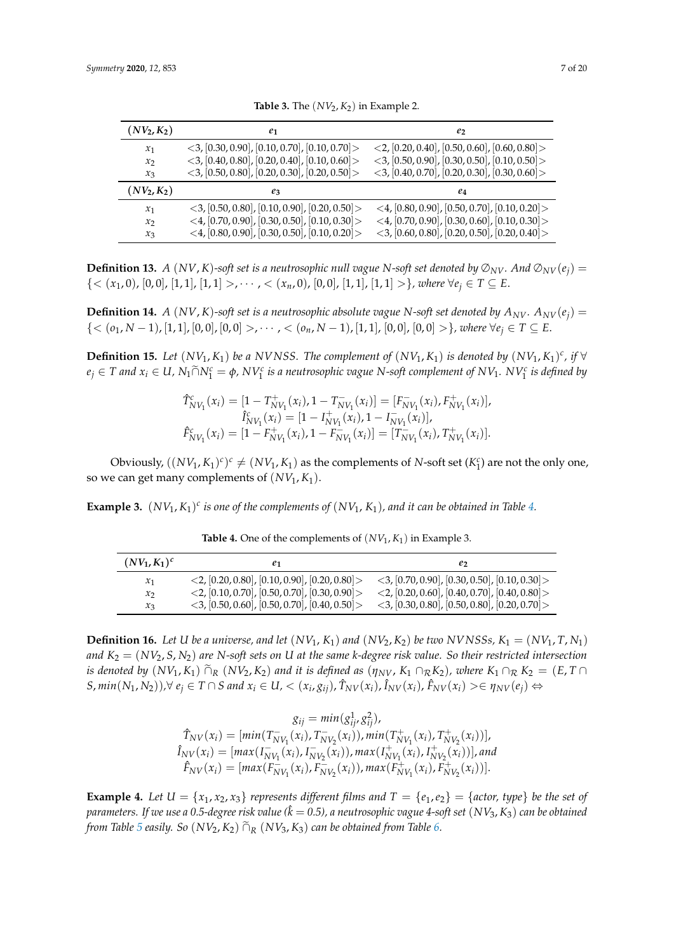<span id="page-6-0"></span>

| $(NV_2,K_2)$ | e <sub>1</sub>                                                | e <sub>2</sub>                                                |
|--------------|---------------------------------------------------------------|---------------------------------------------------------------|
| $x_1$        | $<$ 3, [0.30, 0.90], [0.10, 0.70], [0.10, 0.70] >             | $\langle 2, [0.20, 0.40], [0.50, 0.60], [0.60, 0.80] \rangle$ |
| $x_2$        | $\langle 3, [0.40, 0.80], [0.20, 0.40], [0.10, 0.60] \rangle$ | $\langle 3, [0.50, 0.90], [0.30, 0.50], [0.10, 0.50] \rangle$ |
| $x_3$        | $\langle 3, [0.50, 0.80], [0.20, 0.30], [0.20, 0.50] \rangle$ | $<$ 3, [0.40, 0.70], [0.20, 0.30], [0.30, 0.60] >             |
| $(NV_2,K_2)$ | $e_3$                                                         | e4                                                            |
| $x_1$        | $<$ 3, [0.50, 0.80], [0.10, 0.90], [0.20, 0.50] >             | $\langle 4, [0.80, 0.90], [0.50, 0.70], [0.10, 0.20] \rangle$ |
| $x_2$        | $\langle 4, [0.70, 0.90], [0.30, 0.50], [0.10, 0.30] \rangle$ | $\langle 4, [0.70, 0.90], [0.30, 0.60], [0.10, 0.30] \rangle$ |
| $x_3$        | <4, $[0.80, 0.90]$ , $[0.30, 0.50]$ , $[0.10, 0.20]$          | $<$ 3, [0.60, 0.80], [0.20, 0.50], [0.20, 0.40]>              |

**Table 3.** The  $(NV_2, K_2)$  in Example 2.

**Definition 13.** *A* (*NV*, *K*)-soft set is a neutrosophic null vague *N*-soft set denoted by  $\mathcal{D}_{NV}$ . And  $\mathcal{D}_{NV}(e_i)$  =  ${<(x_1,0), [0,0], [1,1], [1,1] >}, \cdots, {<(x_n,0), [0,0], [1,1], [1,1] >}, where \forall e_j \in T \subseteq E.$ 

**Definition 14.** *A* (*NV, K*)-soft set is a neutrosophic absolute vague N-soft set denoted by  $A_{NV}$ .  $A_{NV}(e_i)$  =  ${<(o_1, N-1), [1, 1], [0, 0], [0, 0] >}, \cdots, {<(o_n, N-1), [1, 1], [0, 0], [0, 0] >}, where \forall e_i \in T \subseteq E.$ 

**Definition 15.** Let  $(NV_1, K_1)$  be a NVNSS. The complement of  $(NV_1, K_1)$  is denoted by  $(NV_1, K_1)^c$ , if  $\forall$  $e_j \in T$  and  $x_i \in U$ ,  $N_1 \widetilde{\cap} N_1^c = \phi$ ,  $N V_1^c$  is a neutrosophic vague N-soft complement of  $N V_1$ .  $N V_1^c$  is defined by

$$
\hat{T}_{NV_1}^c(x_i) = [1 - T_{NV_1}^+(x_i), 1 - T_{NV_1}^-(x_i)] = [F_{NV_1}^-(x_i), F_{NV_1}^+(x_i)], \n\hat{I}_{NV_1}^c(x_i) = [1 - I_{NV_1}^+(x_i), 1 - I_{NV_1}^-(x_i)], \n\hat{F}_{NV_1}^c(x_i) = [1 - F_{NV_1}^+(x_i), 1 - F_{NV_1}^-(x_i)] = [T_{NV_1}^-(x_i), T_{NV_1}^+(x_i)].
$$

Obviously,  $((NV_1, K_1)^c)^c \neq (NV_1, K_1)$  as the complements of *N*-soft set  $(K_1^c)$  are not the only one, so we can get many complements of  $(NV_1, K_1)$ .

<span id="page-6-1"></span>**Example 3.**  $(NV_1, K_1)^c$  is one of the complements of  $(NV_1, K_1)$ , and it can be obtained in Table [4.](#page-6-1)

| $(NV_1,K_1)^c$  |                                                               |                                                               |
|-----------------|---------------------------------------------------------------|---------------------------------------------------------------|
| $\mathcal{X}_1$ | $\langle 2, [0.20, 0.80], [0.10, 0.90], [0.20, 0.80] \rangle$ | $<$ 3, [0.70, 0.90], [0.30, 0.50], [0.10, 0.30]>              |
| $x_2$           | $\langle 2, [0.10, 0.70], [0.50, 0.70], [0.30, 0.90] \rangle$ | $\langle 2, [0.20, 0.60], [0.40, 0.70], [0.40, 0.80] \rangle$ |
| $x_{3}$         | $<$ 3, [0.50, 0.60], [0.50, 0.70], [0.40, 0.50] >             | $\langle 3, [0.30, 0.80], [0.50, 0.80], [0.20, 0.70] \rangle$ |

**Table 4.** One of the complements of (*NV*<sup>1</sup> , *K*1) in Example 3.

**Definition 16.** Let U be a universe, and let  $(NV_1, K_1)$  and  $(NV_2, K_2)$  be two NVNSSs,  $K_1 = (NV_1, T, N_1)$ *and K*<sup>2</sup> = (*NV*2, *S*, *N*2) *are N-soft sets on U at the same k-degree risk value. So their restricted intersection is denoted by*  $(NV_1, K_1) \tilde{\cap}_R (NV_2, K_2)$  *and it is defined as*  $(\eta_{NV}, K_1 \cap_R K_2)$ *, where*  $K_1 \cap_R K_2 = (E, T \cap$ S,  $min(N_1, N_2))$ ,  $\forall e_j \in T \cap S$  and  $x_i \in U$ ,  $\langle x_i, g_{ij} \rangle$ ,  $\hat{T}_{NV}(x_i)$ ,  $\hat{I}_{NV}(x_i)$ ,  $\hat{F}_{NV}(x_i) \rangle \in \eta_{NV}(e_j) \Leftrightarrow$ 

> $g_{ij} = min(g_{ij}^1, g_{ij}^2)$ ,  $\hat{T}_{NV}(x_i) = [min(T_N^-)]$  $T_{NV_1}^-(x_i)$ ,  $T_N^ \sum_{i=N}^{n} (x_i)$ ),  $min(T_N^+)$  $T_{NV_1}^+(x_i)$ ,  $T_N^+$  $\binom{m}{N} \binom{m}{2}$  $\hat{I}_{NV}(x_i) = [max(I_N^-)]$  $\bar{N}V_1(x_i)$ , *I*<sub>N</sub>  $\overline{N}V_2(\overline{x}_i)$ ), max $(I_N^+)$  $N_{V_1}^{+}(x_i)$ , *I*<sub>N</sub>  $\binom{+}{N V_2}(x_i))$  , and  $\hat{F}_{NV}(x_i) = [max(F_N \sum_{i=N}^{1}(x_i)$ ,  $F_N^{-}$  $\sum_{i=N}^{N} (x_i)$ ), max $(F_N^+$  $\bar{F}_{NV_1}^{+}(x_i)$ ,  $\bar{F}_{N}^{+}$  $\frac{1}{N V_2}(x_i))$ .

**Example 4.** Let  $U = \{x_1, x_2, x_3\}$  represents different films and  $T = \{e_1, e_2\} = \{actor, type\}$  be the set of *parameters.* If we use a 0.5-degree risk value ( $\hat{k} = 0.5$ ), a neutrosophic vague 4-soft set (NV<sub>3</sub>, K<sub>3</sub>) can be obtained *from Table [5](#page-7-0) easily.* So  $(NV_2, K_2)$   $\tilde{\cap}_R$   $(NV_3, K_3)$  *can be obtained from Table* [6.](#page-7-1)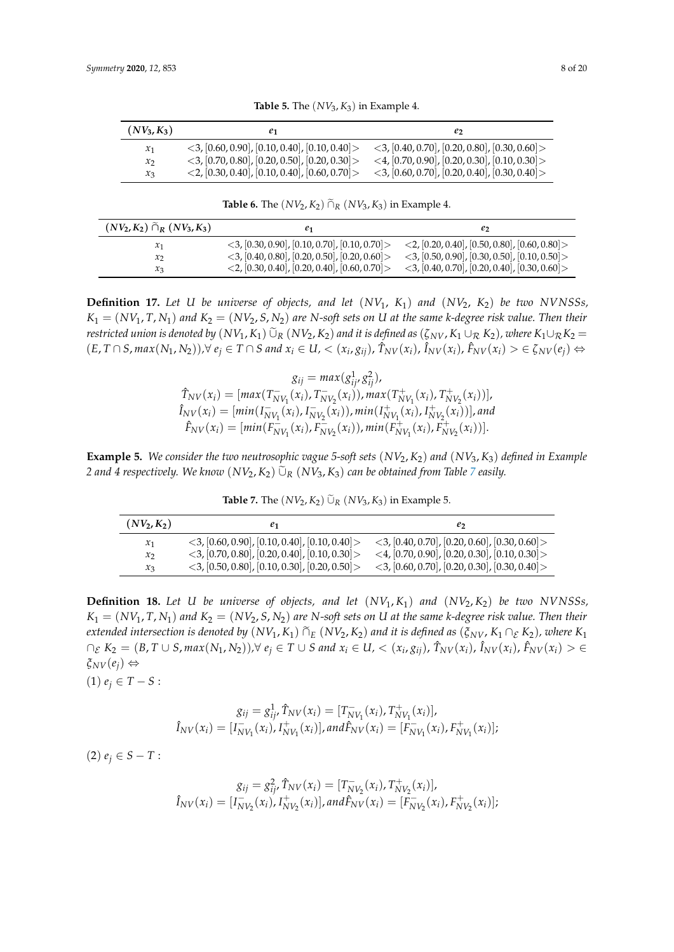<span id="page-7-0"></span>

| $(NV_3,K_3)$      | е1                                                            | e                                                             |
|-------------------|---------------------------------------------------------------|---------------------------------------------------------------|
| $x_1$             | $\langle 3, [0.60, 0.90], [0.10, 0.40], [0.10, 0.40] \rangle$ | $<$ 3, [0.40, 0.70], [0.20, 0.80], [0.30, 0.60] >             |
| $\mathcal{X}_{2}$ | $\langle 3, [0.70, 0.80], [0.20, 0.50], [0.20, 0.30] \rangle$ | $\langle 4, [0.70, 0.90], [0.20, 0.30], [0.10, 0.30] \rangle$ |
| $x_{3}$           | $\langle 2, [0.30, 0.40], [0.10, 0.40], [0.60, 0.70] \rangle$ | $\langle 3, [0.60, 0.70], [0.20, 0.40], [0.30, 0.40] \rangle$ |

**Table 5.** The  $(NV_3, K_3)$  in Example 4.

**Table 6.** The  $(NV_2, K_2)$   $\widetilde{\cap}_R (NV_3, K_3)$  in Example 4.

<span id="page-7-1"></span>

| $(NV_2, K_2) \tilde{\cap}_R (NV_3, K_3)$ |                                                               | e۶                                                            |
|------------------------------------------|---------------------------------------------------------------|---------------------------------------------------------------|
| $x_1$                                    | $\langle 3, [0.30, 0.90], [0.10, 0.70], [0.10, 0.70] \rangle$ | $\langle 2, [0.20, 0.40], [0.50, 0.80], [0.60, 0.80] \rangle$ |
| $x_2$                                    | $\langle 3, [0.40, 0.80], [0.20, 0.50], [0.20, 0.60] \rangle$ | $\langle 3, [0.50, 0.90], [0.30, 0.50], [0.10, 0.50] \rangle$ |
| $x_3$                                    | $\langle 2, [0.30, 0.40], [0.20, 0.40], [0.60, 0.70] \rangle$ | $\langle 3, [0.40, 0.70], [0.20, 0.40], [0.30, 0.60] \rangle$ |

**Definition 17.** *Let U be universe of objects, and let* (*NV*1, *K*1) *and* (*NV*2, *K*2) *be two NVNSSs,*  $K_1 = (NV_1, T, N_1)$  and  $K_2 = (NV_2, S, N_2)$  are *N-soft sets on U* at the same *k*-degree risk value. Then their *restricted union is denoted by*  $(NV_1, K_1)$   $\tilde{\cup}_R$   $(NV_2, K_2)$  *and it is defined as*  $(\zeta_{NV}, K_1 \cup_R K_2)$ *, where*  $K_1 \cup_R K_2$  =  $(E, T \cap S, max(N_1, N_2)), \forall e_j \in T \cap S \text{ and } x_i \in U, < (x_i, g_{ij}), \hat{T}_{NV}(x_i), \hat{I}_{NV}(x_i), \hat{F}_{NV}(x_i) > \in \zeta_{NV}(e_j) \Leftrightarrow$ 

> $g_{ij} = max(g_{ij}^1, g_{ij}^2)$ ,  $\hat{T}_{NV}(x_i) = [max(T_N^-)]$  $T_{NV_1}^-(x_i)$ ,  $T_N^ \sum_{i=N}^{N} (x_i)$ ), max $(T_N^+)$  $T_{NV_1}^+(x_i)$ ,  $T_N^+$  $\binom{m}{N} \binom{m}{2}$  $\hat{I}_{NV}(x_i) = [min(I_N^-)]$  $\bar{N}V_1(x_i)$ , *I*<sub>N</sub>  $\overline{N}V_2(\overline{x}_i)$ ),  $min(I_N^+)$  $N_{V_1}^{+}(x_i)$ , *I*<sub>N</sub>  $\left[\begin{array}{c} + \\ N V_2 \end{array}\right]$  ( $x_i$ ))], and  $\hat{F}_{NV}(x_i) = [min(F_N^{-1})]$  $\sum_{i=N}^{1} (x_i)$ ,  $F_N^{-}$  $\sum_{i=N}^{N} (x_i)$ ),  $min(F_N^+$  $F_{NV_1}^{+}(x_i)$ ,  $F_N^{+}$  $\frac{1}{N}V_2(x_i))$ .

<span id="page-7-2"></span>**Example 5.** *We consider the two neutrosophic vague 5-soft sets* (*NV*2, *K*2) *and* (*NV*3, *K*3) *defined in Example* 2 and 4 respectively. We know  $(NV_2, K_2)$   $\widetilde{\cup}_R$   $(NV_3, K_3)$  can be obtained from Table [7](#page-7-2) easily.

**Table 7.** The  $(NV_2, K_2)$   $\widetilde{\cup}_R (NV_3, K_3)$  in Example 5.

| $(NV_2,K_2)$    | $_{e_1}$                                                      | еz                                                            |
|-----------------|---------------------------------------------------------------|---------------------------------------------------------------|
| $\mathcal{X}_1$ | $\langle 3, [0.60, 0.90], [0.10, 0.40], [0.10, 0.40] \rangle$ | $<$ 3, [0.40, 0.70], [0.20, 0.60], [0.30, 0.60] >             |
| $\mathcal{X}$   | $\langle 3, [0.70, 0.80], [0.20, 0.40], [0.10, 0.30] \rangle$ | $\langle 4, [0.70, 0.90], [0.20, 0.30], [0.10, 0.30] \rangle$ |
| $x_{3}$         | $\langle 3, [0.50, 0.80], [0.10, 0.30], [0.20, 0.50] \rangle$ | $\langle 3, [0.60, 0.70], [0.20, 0.30], [0.30, 0.40] \rangle$ |

**Definition 18.** Let U be universe of objects, and let  $(NV_1, K_1)$  and  $(NV_2, K_2)$  be two NVNSSs,  $K_1 = (NV_1, T, N_1)$  and  $K_2 = (NV_2, S, N_2)$  are *N-soft sets on U* at the same *k-degree risk value. Then their extended intersection is denoted by*  $(NV_1, K_1) \tilde{P}_E (NV_2, K_2)$  *and it is defined as*  $(\xi_{NV}, K_1 \Gamma_{E} K_2)$ *, where*  $K_1$  $\cap_{\mathcal{E}} K_2 = (B, T \cup S, max(N_1, N_2)), \forall e_j \in T \cup S$  and  $x_i \in U, < (x_i, g_{ij}), \hat{T}_{NV}(x_i), \hat{I}_{NV}(x_i), \hat{F}_{NV}(x_i) > \in$  $ξ<sub>NV</sub>(e<sub>i</sub>)$  ⇔

 $(1)$   $e_i \in T - S$ :

$$
g_{ij} = g_{ij}^1 \hat{T}_{NV}(x_i) = [T_{NV_1}^-(x_i), T_{NV_1}^+(x_i)],
$$
  

$$
\hat{I}_{NV}(x_i) = [I_{NV_1}^-(x_i), I_{NV_1}^+(x_i)], and \hat{F}_{NV}(x_i) = [F_{NV_1}^-(x_i), F_{NV_1}^+(x_i)];
$$

 $(2)$   $e_i \in S - T$ :

$$
g_{ij} = g_{ij}^2 \hat{T}_{NV}(x_i) = [T_{NV_2}^-(x_i), T_{NV_2}^+(x_i)],
$$
  

$$
\hat{I}_{NV}(x_i) = [I_{NV_2}^-(x_i), I_{NV_2}^+(x_i)], and \hat{F}_{NV}(x_i) = [F_{NV_2}^-(x_i), F_{NV_2}^+(x_i)];
$$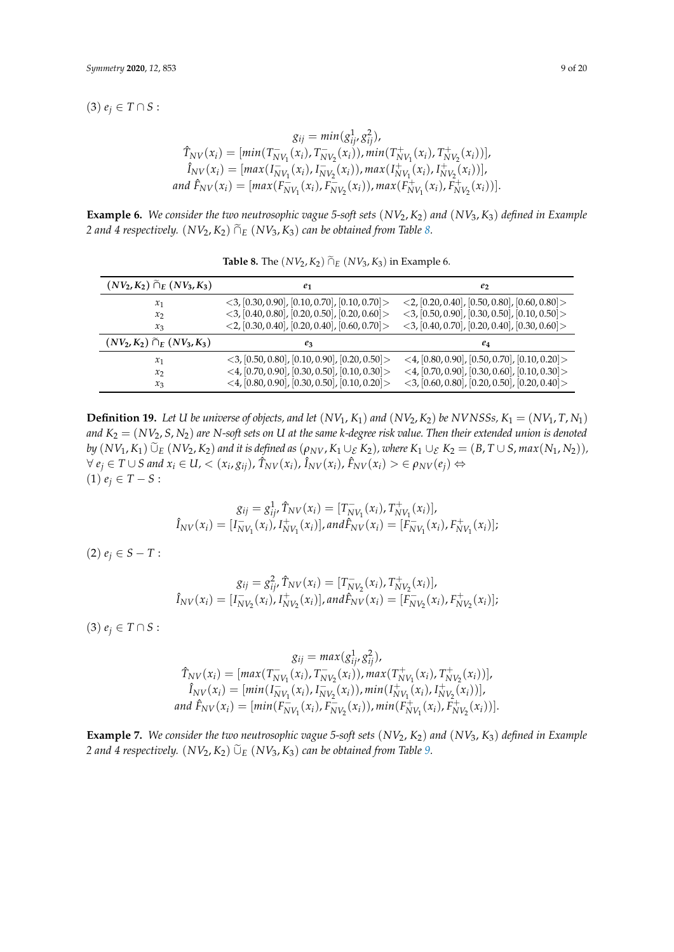$(3) e_j ∈ T ∩ S:$ 

$$
g_{ij} = min(g_{ij}^1, g_{ij}^2),
$$
  
\n
$$
\hat{T}_{NV}(x_i) = [min(T_{NV_1}^-(x_i), T_{NV_2}^-(x_i)), min(T_{NV_1}^+(x_i), T_{NV_2}^+(x_i))],
$$
  
\n
$$
\hat{I}_{NV}(x_i) = [max(I_{NV_1}^-(x_i), I_{NV_2}^-(x_i)), max(I_{NV_1}^+(x_i), I_{NV_2}^+(x_i))],
$$
  
\nand  $\hat{F}_{NV}(x_i) = [max(F_{NV_1}^-(x_i), F_{NV_2}^-(x_i)), max(F_{NV_1}^+(x_i), F_{NV_2}^+(x_i))].$ 

**Example 6.** *We consider the two neutrosophic vague 5-soft sets* (*NV*2, *K*2) *and* (*NV*3, *K*3) *defined in Example 2 and 4 respectively.*  $(NV_2, K_2)$   $\tilde{\cap}_E$   $(NV_3, K_3)$  *can be obtained from Table [8.](#page-8-0)* 

<span id="page-8-0"></span>

| $(NV_2, K_2)$ $\tilde{\cap}_E (NV_3, K_3)$ | e <sub>1</sub>                                                                                                                 | e <sub>2</sub>                                                                                         |  |
|--------------------------------------------|--------------------------------------------------------------------------------------------------------------------------------|--------------------------------------------------------------------------------------------------------|--|
| $x_1$                                      | $\langle 3, [0.30, 0.90], [0.10, 0.70], [0.10, 0.70] \rangle$                                                                  | $\langle 2, [0.20, 0.40], [0.50, 0.80], [0.60, 0.80] \rangle$                                          |  |
| $x_2$<br>$x_3$                             | $\langle 3, [0.40, 0.80], [0.20, 0.50], [0.20, 0.60] \rangle$<br>$\langle 2, [0.30, 0.40], [0.20, 0.40], [0.60, 0.70] \rangle$ | $<$ 3, [0.50, 0.90], [0.30, 0.50], [0.10, 0.50] ><br>$<$ 3, [0.40, 0.70], [0.20, 0.40], [0.30, 0.60] > |  |
| $(NV_2, K_2) \tilde{\cap}_E (NV_3, K_3)$   | $e_3$                                                                                                                          | $e_4$                                                                                                  |  |
| $x_1$                                      | $\langle 3, [0.50, 0.80], [0.10, 0.90], [0.20, 0.50] \rangle$                                                                  | $<$ 4, [0.80, 0.90], [0.50, 0.70], [0.10, 0.20] >                                                      |  |
| $x_2$                                      | $\langle 4, [0.70, 0.90], [0.30, 0.50], [0.10, 0.30] \rangle$                                                                  | $<$ 4, [0.70, 0.90], [0.30, 0.60], [0.10, 0.30]>                                                       |  |
| $x_3$                                      | <4, $[0.80, 0.90]$ , $[0.30, 0.50]$ , $[0.10, 0.20]$                                                                           | $<$ 3, [0.60, 0.80], [0.20, 0.50], [0.20, 0.40] >                                                      |  |

**Table 8.** The  $(NV_2, K_2)$   $\tilde{\cap}_E (NV_3, K_3)$  in Example 6.

**Definition 19.** Let U be universe of objects, and let  $(NV_1, K_1)$  and  $(NV_2, K_2)$  be NVNSSs,  $K_1 = (NV_1, T, N_1)$ and  $K_2 = (NV_2, S, N_2)$  are *N-soft sets on U* at the same *k-degree risk value. Then their extended union is denoted* by  $(NV_1, K_1)$   $\widetilde{\cup}_E (NV_2, K_2)$  and it is defined as  $(\rho_{NV}, K_1 \cup_{\mathcal{E}} K_2)$ , where  $K_1 \cup_{\mathcal{E}} K_2 = (B, T \cup S, max(N_1, N_2)),$  $\forall e_j \in T \cup S$  and  $x_i \in U$ ,  $\langle (x_i, g_{ij}), \hat{T}_{NV}(x_i), \hat{I}_{NV}(x_i), \hat{F}_{NV}(x_i) \rangle \in \rho_{NV}(e_j) \Leftrightarrow$  $(1)$   $e_j \in T - S$ :

$$
g_{ij} = g_{ij}^1 \hat{T}_{NV}(x_i) = [T_{NV_1}^-(x_i), T_{NV_1}^+(x_i)],
$$
  

$$
\hat{I}_{NV}(x_i) = [I_{NV_1}^-(x_i), I_{NV_1}^+(x_i)], and \hat{F}_{NV}(x_i) = [F_{NV_1}^-(x_i), F_{NV_1}^+(x_i)];
$$

 $(2)$   $e_j \in S - T$ :

$$
g_{ij} = g_{ij}^2 \hat{T}_{NV}(x_i) = [T_{NV_2}^-(x_i), T_{NV_2}^+(x_i)],
$$
  

$$
\hat{I}_{NV}(x_i) = [I_{NV_2}^-(x_i), I_{NV_2}^+(x_i)], and \hat{F}_{NV}(x_i) = [F_{NV_2}^-(x_i), F_{NV_2}^+(x_i)];
$$

 $(3) e_j ∈ T ∩ S:$ 

$$
g_{ij} = max(g_{ij}^1, g_{ij}^2),
$$
  
\n
$$
\hat{T}_{NV}(x_i) = [max(T_{NV_1}^-(x_i), T_{NV_2}^-(x_i)), max(T_{NV_1}^+(x_i), T_{NV_2}^+(x_i))],
$$
  
\n
$$
\hat{I}_{NV}(x_i) = [min(I_{NV_1}^-(x_i), I_{NV_2}^-(x_i)), min(I_{NV_1}^+(x_i), I_{NV_2}^+(x_i))],
$$
  
\nand  $\hat{F}_{NV}(x_i) = [min(F_{NV_1}^-(x_i), F_{NV_2}^-(x_i)), min(F_{NV_1}^+(x_i), F_{NV_2}^+(x_i))].$ 

**Example 7.** *We consider the two neutrosophic vague 5-soft sets* (*NV*2, *K*2) *and* (*NV*3, *K*3) *defined in Example 2 and 4 respectively.*  $(NV_2, K_2)$   $\widetilde{\cup}_E$   $(NV_3, K_3)$  *can be obtained from Table [9.](#page-9-0)*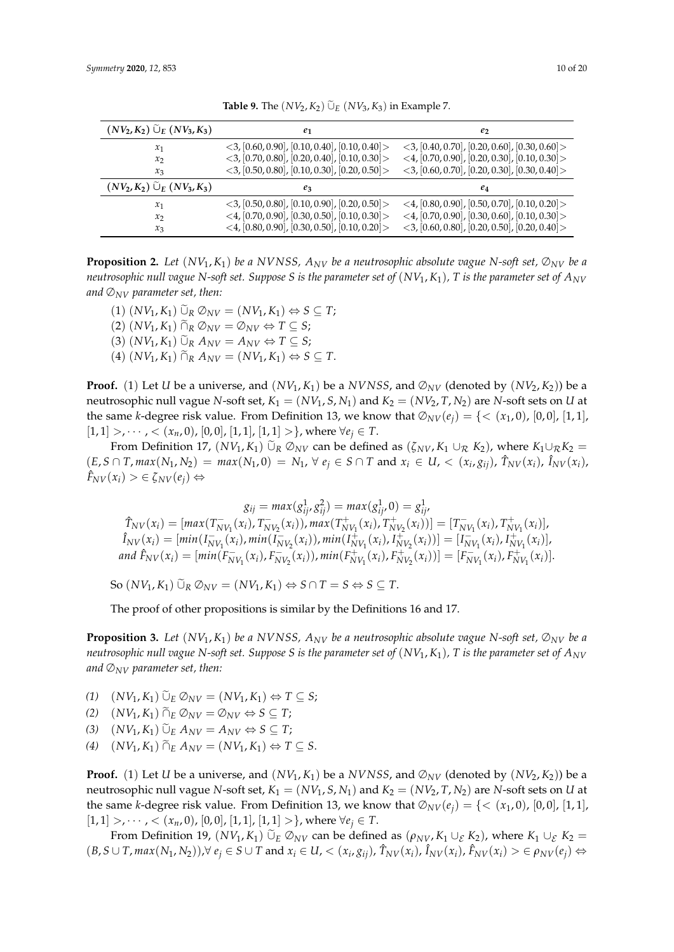<span id="page-9-0"></span>

| $(NV_2, K_2)$ $\tilde{\cup}_E (NV_3, K_3)$     | e <sub>1</sub>                                                                                                     | e <sub>2</sub>                                                                                                                 |  |
|------------------------------------------------|--------------------------------------------------------------------------------------------------------------------|--------------------------------------------------------------------------------------------------------------------------------|--|
| $x_1$<br>$x_2$                                 | $\langle 3, [0.60, 0.90], [0.10, 0.40], [0.10, 0.40] \rangle$<br>$<$ 3, [0.70, 0.80], [0.20, 0.40], [0.10, 0.30] > | $\langle 3, [0.40, 0.70], [0.20, 0.60], [0.30, 0.60] \rangle$<br>$\langle 4, [0.70, 0.90], [0.20, 0.30], [0.10, 0.30] \rangle$ |  |
| $x_3$                                          | $<$ 3, [0.50, 0.80], [0.10, 0.30], [0.20, 0.50] >                                                                  | $<$ 3, [0.60, 0.70], [0.20, 0.30], [0.30, 0.40] >                                                                              |  |
| $(NV_2, K_2)$ $\widetilde{\cup}_E (NV_3, K_3)$ | $e_3$                                                                                                              | $e_4$                                                                                                                          |  |
| $x_1$                                          | $<$ 3, [0.50, 0.80], [0.10, 0.90], [0.20, 0.50]>                                                                   | <4, $[0.80, 0.90]$ , $[0.50, 0.70]$ , $[0.10, 0.20]$                                                                           |  |
| $x_2$                                          | $\langle 4, [0.70, 0.90], [0.30, 0.50], [0.10, 0.30] \rangle$                                                      | $\langle 4, [0.70, 0.90], [0.30, 0.60], [0.10, 0.30] \rangle$                                                                  |  |
| $x_3$                                          | $\langle 4, [0.80, 0.90], [0.30, 0.50], [0.10, 0.20] \rangle$                                                      | $\langle 3, [0.60, 0.80], [0.20, 0.50], [0.20, 0.40] \rangle$                                                                  |  |

**Table 9.** The  $(NV_2, K_2)$   $\widetilde{\cup}_E$   $(NV_3, K_3)$  in Example 7.

**Proposition 2.** Let  $(NV_1, K_1)$  be a NVNSS,  $A_{NV}$  be a neutrosophic absolute vague N-soft set,  $\mathcal{D}_{NV}$  be a *neutrosophic null vague N-soft set. Suppose S is the parameter set of* (*NV*1, *K*1)*, T is the parameter set of ANV and* ∅*NV parameter set, then:*

 $(1)$   $(NV_1, K_1)$   $\widetilde{\cup}_R \mathcal{O}_{NV} = (NV_1, K_1) \Leftrightarrow S \subseteq T$ ;  $(2)$   $(NV_1, K_1)$   $\tilde{\cap}_R \mathcal{O}_{NV} = \mathcal{O}_{NV} \Leftrightarrow T \subseteq S;$  $(3)$   $(NV_1, K_1)$   $\widetilde{\cup}_R A_{NV} = A_{NV} \Leftrightarrow T \subseteq S;$ 

 $(A)$   $(NV_1, K_1)$   $\widetilde{\cap}_R A_{NV} = (NV_1, K_1) \Leftrightarrow S \subseteq T$ .

**Proof.** (1) Let *U* be a universe, and  $(NV_1, K_1)$  be a *NVNSS*, and  $\mathcal{O}_{NV}$  (denoted by  $(NV_2, K_2)$ ) be a neutrosophic null vague *N*-soft set,  $K_1 = (NV_1, S, N_1)$  and  $K_2 = (NV_2, T, N_2)$  are *N*-soft sets on *U* at the same *k*-degree risk value. From Definition 13, we know that  $\mathcal{O}_{NV}(e_i) = \{ \langle (x_1, 0), [0, 0], [1, 1], \rangle \}$  $[1, 1] >, \dots, < (x_n, 0), [0, 0], [1, 1], [1, 1] >\},$  where  $\forall e_j \in T$ .

From Definition 17,  $(NV_1, K_1)$   $\tilde{\cup}_R \mathcal{O}_{NV}$  can be defined as  $(\zeta_{NV}, K_1 \cup_R K_2)$ , where  $K_1 \cup_R K_2 =$  $(E, S \cap T, max(N_1, N_2) = max(N_1, 0) = N_1, \forall e_j \in S \cap T \text{ and } x_i \in U, \langle x_i, g_{ij} \rangle, \hat{T}_{NV}(x_i), \hat{I}_{NV}(x_i),$  $\hat{F}_{NV}(x_i) > \in \zeta_{NV}(e_i) \Leftrightarrow$ 

$$
g_{ij} = max(g_{ij}^1, g_{ij}^2) = max(g_{ij}^1, 0) = g_{ij}^1,
$$
  
\n
$$
\hat{T}_{NV}(x_i) = [max(T_{NV_1}^-(x_i), T_{NV_2}^-(x_i)), max(T_{NV_1}^+(x_i), T_{NV_2}^+(x_i))] = [T_{NV_1}^-(x_i), T_{NV_1}^+(x_i)],
$$
  
\n
$$
\hat{I}_{NV}(x_i) = [min(I_{NV_1}^-(x_i), min(I_{NV_2}^-(x_i)), min(I_{NV_1}^+(x_i), I_{NV_2}^+(x_i))] = [I_{NV_1}^-(x_i), I_{NV_1}^+(x_i)],
$$
  
\nand  $\hat{F}_{NV}(x_i) = [min(F_{NV_1}^-(x_i), F_{NV_2}^-(x_i)), min(F_{NV_1}^+(x_i), F_{NV_2}^+(x_i))] = [F_{NV_1}^-(x_i), F_{NV_1}^+(x_i)].$ 

 $\text{So } (NV_1, K_1) \widetilde{\cup}_R \mathcal{O}_{NV} = (NV_1, K_1) \Leftrightarrow S \cap T = S \Leftrightarrow S \subseteq T.$ 

The proof of other propositions is similar by the Definitions 16 and 17.

**Proposition 3.** Let  $(NV_1, K_1)$  be a *NVNSS,*  $A_{NV}$  be a neutrosophic absolute vague *N-soft set,*  $\mathcal{D}_{NV}$  be a *neutrosophic null vague N-soft set. Suppose S is the parameter set of* (*NV*1, *K*1)*, T is the parameter set of ANV and*  $\mathcal{D}_{NV}$  parameter set, then:

- *(1)*  $(NV_1, K_1) \tilde{\cup}_E \emptyset_{NV} = (NV_1, K_1) \Leftrightarrow T \subseteq S;$
- *(2)*  $(NV_1, K_1) \tilde{\\}_E \emptyset_{NV} = \emptyset_{NV} \Leftrightarrow S \subseteq T;$
- $(X^2)$   $(NV_1, K_1)$   $\widetilde{\cup}_E A_{NV} = A_{NV} \Leftrightarrow S \subseteq T;$
- $(W_1, K_1) \widetilde{\cap}_E A_{NV} = (NV_1, K_1) \Leftrightarrow T \subseteq S.$

**Proof.** (1) Let *U* be a universe, and  $(NV_1, K_1)$  be a *NVNSS*, and  $\emptyset_{NV}$  (denoted by  $(NV_2, K_2)$ ) be a neutrosophic null vague *N*-soft set,  $K_1 = (NV_1, S, N_1)$  and  $K_2 = (NV_2, T, N_2)$  are *N*-soft sets on *U* at the same *k*-degree risk value. From Definition 13, we know that  $\mathcal{O}_{NV}(e_i) = \{ \langle (x_1, 0), [0, 0], [1, 1], \rangle \}$  $[1, 1] >, \dots, < (x_n, 0), [0, 0], [1, 1], [1, 1] >\},$  where  $\forall e_j \in T$ .

From Definition 19,  $(NV_1, K_1)$   $\widetilde{\cup}_E \mathcal{D}_{NV}$  can be defined as  $(\rho_{NV}, K_1 \cup_E K_2)$ , where  $K_1 \cup_E K_2 =$  $(B, S \cup T, max(N_1, N_2)), \forall e_j \in S \cup T$  and  $x_i \in U, \langle x_i, g_{ij} \rangle$ ,  $\hat{T}_{NV}(x_i)$ ,  $\hat{I}_{NV}(x_i)$ ,  $\hat{F}_{NV}(x_i) > \in \rho_{NV}(e_j) \Leftrightarrow$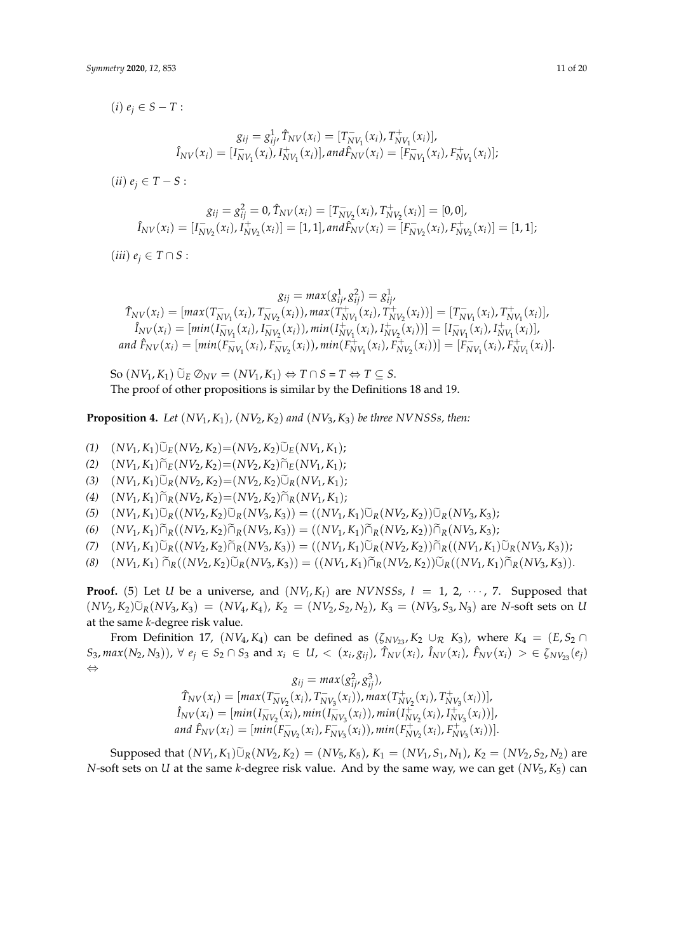$(ii)$   $e_j \in T - S$ :

$$
g_{ij} = g_{ij}^2 = 0, \hat{T}_{NV}(x_i) = [T_{NV_2}^-(x_i), T_{NV_2}^+(x_i)] = [0, 0],
$$
  

$$
\hat{I}_{NV}(x_i) = [I_{NV_2}^-(x_i), I_{NV_2}^+(x_i)] = [1, 1], and \hat{F}_{NV}(x_i) = [F_{NV_2}^-(x_i), F_{NV_2}^+(x_i)] = [1, 1];
$$

 $(iii)$   $e_i \in T \cap S$ :

$$
g_{ij} = max(g_{ij}^1, g_{ij}^2) = g_{ij}^1,
$$
  
\n
$$
\hat{T}_{NV}(x_i) = [max(T_{NV_1}^-(x_i), T_{NV_2}^-(x_i)), max(T_{NV_1}^+(x_i), T_{NV_2}^+(x_i))] = [T_{NV_1}^-(x_i), T_{NV_1}^+(x_i)],
$$
  
\n
$$
\hat{I}_{NV}(x_i) = [min(I_{NV_1}^-(x_i), I_{NV_2}^-(x_i)), min(I_{NV_1}^+(x_i), I_{NV_2}^+(x_i))] = [I_{NV_1}^-(x_i), I_{NV_1}^+(x_i)],
$$
  
\nand  $\hat{F}_{NV}(x_i) = [min(F_{NV_1}^-(x_i), F_{NV_2}^-(x_i)), min(F_{NV_1}^+(x_i), F_{NV_2}^+(x_i))] = [F_{NV_1}^-(x_i), F_{NV_1}^+(x_i)].$ 

 $\text{So } (NV_1, K_1) \widetilde{\cup}_E \mathcal{O}_{NV} = (NV_1, K_1) \Leftrightarrow T \cap S = T \Leftrightarrow T \subseteq S.$ The proof of other propositions is similar by the Definitions 18 and 19.

**Proposition 4.** *Let*  $(NV_1, K_1)$ *,*  $(NV_2, K_2)$  *and*  $(NV_3, K_3)$  *be three NVNSSs, then:* 

 $(V_1, K_1) \tilde{\cup}_E (NV_2, K_2) = (NV_2, K_2) \tilde{\cup}_E (NV_1, K_1);$ 

- $(V_1, K_1) \widetilde{\cap}_E (NV_2, K_2) = (NV_2, K_2) \widetilde{\cap}_E (NV_1, K_1);$
- $(V_1, K_1) \tilde{\cup}_R (NV_2, K_2) = (NV_2, K_2) \tilde{\cup}_R (NV_1, K_1);$
- $(W_1, K_1) \widetilde{\cap}_R (NV_2, K_2) = (NV_2, K_2) \widetilde{\cap}_R (NV_1, K_1);$
- $(W_1, K_1) \tilde{\cup}_R ((N V_2, K_2) \tilde{\cup}_R (N V_3, K_3)) = ((N V_1, K_1) \tilde{\cup}_R (N V_2, K_2)) \tilde{\cup}_R (N V_3, K_3);$
- $(W_1, K_1) \widetilde{D}_R((N V_2, K_2) \widetilde{D}_R(N V_3, K_3)) = ((N V_1, K_1) \widetilde{D}_R(N V_2, K_2)) \widetilde{D}_R(N V_3, K_3);$
- (7)  $(NV_1, K_1)\tilde{\cup}_R((NV_2, K_2)\tilde{\cap}_R(NV_3, K_3)) = ((NV_1, K_1)\tilde{\cup}_R(NV_2, K_2))\tilde{\cap}_R((NV_1, K_1)\tilde{\cup}_R(NV_3, K_3));$
- (8)  $(NV_1, K_1) \widetilde{\cap}_R((NV_2, K_2) \widetilde{\cup}_R(NV_3, K_3)) = ((NV_1, K_1) \widetilde{\cap}_R(NV_2, K_2)) \widetilde{\cup}_R((NV_1, K_1) \widetilde{\cap}_R(NV_3, K_3)).$

**Proof.** (5) Let *U* be a universe, and  $(NV_l, K_l)$  are *NVNSSs*,  $l = 1, 2, \dots, 7$ . Supposed that  $(NV_2, K_2) \tilde{\cup}_R (NV_3, K_3) = (NV_4, K_4), K_2 = (NV_2, S_2, N_2), K_3 = (NV_3, S_3, N_3)$  are *N*-soft sets on *U* at the same *k*-degree risk value.

From Definition 17,  $(NV_4, K_4)$  can be defined as  $(\zeta_{NV_{23}}, K_2 \cup_R K_3)$ , where  $K_4 = (E, S_2 \cap$  $S_3$ ,  $max(N_2, N_3)$ ,  $\forall e_j \in S_2 \cap S_3$  and  $x_i \in U$ ,  $\langle x_i, g_{ij} \rangle$ ,  $\hat{T}_{NV}(x_i)$ ,  $\hat{I}_{NV}(x_i)$ ,  $\hat{F}_{NV}(x_i) > \in \zeta_{NV_{23}}(e_j)$ ⇔

$$
g_{ij} = max(g_{ij}^2, g_{ij}^3),
$$
  
\n
$$
\hat{T}_{NV}(x_i) = [max(T_{NV_2}^-(x_i), T_{NV_3}^-(x_i)), max(T_{NV_2}^+(x_i), T_{NV_3}^+(x_i))],
$$
  
\n
$$
\hat{I}_{NV}(x_i) = [min(I_{NV_2}^-(x_i), min(I_{NV_3}^-(x_i)), min(I_{NV_2}^+(x_i), I_{NV_3}^+(x_i))],
$$
  
\nand  $\hat{F}_{NV}(x_i) = [min(F_{NV_2}^-(x_i), F_{NV_3}^-(x_i)), min(F_{NV_2}^+(x_i), F_{NV_3}^+(x_i))].$ 

Supposed that  $(NV_1, K_1)\tilde{\cup}_R(NV_2, K_2) = (NV_5, K_5), K_1 = (NV_1, S_1, N_1), K_2 = (NV_2, S_2, N_2)$  are *N*-soft sets on *U* at the same *k*-degree risk value. And by the same way, we can get (*NV*5, *K*5) can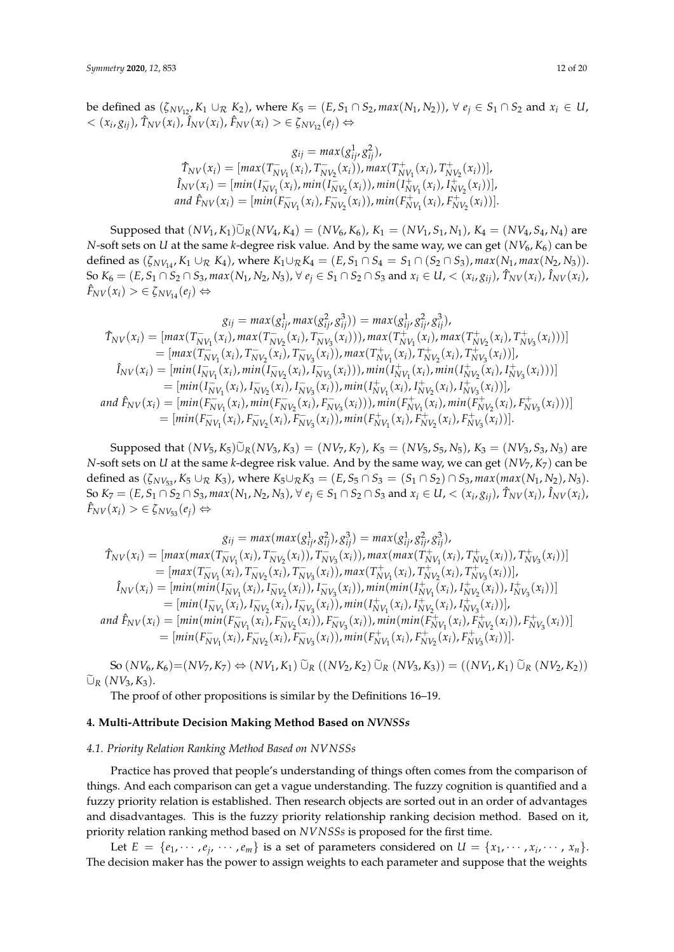be defined as  $(\zeta_{NV_1}, K_1 \cup_R K_2)$ , where  $K_5 = (E, S_1 \cap S_2, max(N_1, N_2))$ , ∀  $e_i \in S_1 \cap S_2$  and  $x_i \in U$ ,  $< (x_i, g_{ij}), \hat{T}_{NV}(x_i), \hat{I}_{NV}(x_i), \hat{F}_{NV}(x_i) > \in \zeta_{NV_{12}}(e_j) \Leftrightarrow$ 

$$
g_{ij} = max(g_{ij}^1, g_{ij}^2),
$$
  
\n
$$
\hat{T}_{NV}(x_i) = [max(T_{NV_1}^-(x_i), T_{NV_2}^-(x_i)), max(T_{NV_1}^+(x_i), T_{NV_2}^+(x_i))],
$$
  
\n
$$
\hat{I}_{NV}(x_i) = [min(I_{NV_1}^-(x_i), min(I_{NV_2}^-(x_i)), min(I_{NV_1}^+(x_i), I_{NV_2}^+(x_i))],
$$
  
\nand  $\hat{F}_{NV}(x_i) = [min(F_{NV_1}^-(x_i), F_{NV_2}^-(x_i)), min(F_{NV_1}^+(x_i), F_{NV_2}^+(x_i))].$ 

Supposed that  $(NV_1, K_1)\tilde{\cup}_R (NV_4, K_4) = (NV_6, K_6), K_1 = (NV_1, S_1, N_1), K_4 = (NV_4, S_4, N_4)$  are *N*-soft sets on *U* at the same *k*-degree risk value. And by the same way, we can get  $(NV_6, K_6)$  can be defined as  $(\zeta_{NV_{14}}, K_1 \cup_R K_4)$ , where  $K_1 \cup_R K_4 = (E, S_1 \cap S_4 = S_1 \cap (S_2 \cap S_3)$ ,  $max(N_1, max(N_2, N_3))$ . So  $K_6 = (E, S_1 \cap S_2 \cap S_3, max(N_1, N_2, N_3), \forall e_j \in S_1 \cap S_2 \cap S_3 \text{ and } x_i \in U, < (x_i, g_{ij}), \hat{T}_{NV}(x_i), \hat{I}_{NV}(x_i),$  $F_{NV}(x_i) > \in \zeta_{NV_{14}}(e_i) \Leftrightarrow$ 

$$
g_{ij} = max(g_{ij}^1, max(g_{ij}^2, g_{ij}^3)) = max(g_{ij}^1, g_{ij}^2, g_{ij}^3),
$$
  
\n
$$
\hat{T}_{NV}(x_i) = [max(T_{NV_1}^{-}(x_i), max(T_{NV_2}^{-}(x_i), T_{NV_3}^{-}(x_i))), max(T_{NV_1}^{+}(x_i), max(T_{NV_2}^{+}(x_i), T_{NV_3}^{+}(x_i)))]
$$
  
\n
$$
= [max(T_{NV_1}^{-}(x_i), T_{NV_2}^{-}(x_i), T_{NV_3}^{-}(x_i)), max(T_{NV_1}^{+}(x_i), T_{NV_2}^{+}(x_i), T_{NV_3}^{+}(x_i))],
$$
  
\n
$$
\hat{I}_{NV}(x_i) = [min(I_{NV_1}^{-}(x_i), min(I_{NV_2}^{-}(x_i), I_{NV_3}^{-}(x_i))), min(I_{NV_1}^{+}(x_i), min(I_{NV_2}^{+}(x_i), I_{NV_3}^{+}(x_i)))]
$$
  
\n
$$
= [min(I_{NV_1}^{-}(x_i), I_{NV_2}^{-}(x_i), I_{VN_3}^{-}(x_i)), min(I_{NV_1}^{+}(x_i), I_{NV_2}^{+}(x_i), I_{NV_3}^{+}(x_i))],
$$
  
\nand  $\hat{F}_{NV}(x_i) = [min(F_{NV_1}^{-}(x_i), min(F_{NV_2}^{-}(x_i), F_{NV_3}^{-}(x_i))), min(F_{NV_1}^{+}(x_i), min(F_{NV_2}^{+}(x_i), F_{NV_3}^{+}(x_i)))]$   
\n
$$
= [min(F_{NV_1}^{-}(x_i), F_{NV_2}^{-}(x_i), F_{NV_3}^{-}(x_i)), min(F_{NV_1}^{+}(x_i), F_{NV_2}^{+}(x_i), F_{NV_3}^{+}(x_i))].
$$

Supposed that  $(NV_5, K_5)\tilde{\cup}_R (NV_3, K_3) = (NV_7, K_7), K_5 = (NV_5, S_5, N_5), K_3 = (NV_3, S_3, N_3)$  are *N*-soft sets on *U* at the same *k*-degree risk value. And by the same way, we can get (*NV*7, *K*7) can be defined as  $(\zeta_{NV_{53}}, K_5 \cup_R K_3)$ , where  $K_5 \cup_R K_3 = (E, S_5 \cap S_3 = (S_1 \cap S_2) \cap S_3$ , max(max( $N_1, N_2$ ),  $N_3$ ). So  $K_7 = (E, S_1 \cap S_2 \cap S_3, max(N_1, N_2, N_3), \forall e_j \in S_1 \cap S_2 \cap S_3 \text{ and } x_i \in U, < (x_i, g_{ij}), \hat{T}_{NV}(x_i), \hat{I}_{NV}(x_i),$  $\hat{F}_{NV}(x_i) > \in \zeta_{NV53}(e_i) \Leftrightarrow$ 

$$
g_{ij} = max(max(g_{ij}^{1}, g_{ij}^{2}), g_{ij}^{3}) = max(g_{ij}^{1}, g_{ij}^{2}, g_{ij}^{3}),
$$
  
\n
$$
\hat{T}_{NV}(x_{i}) = [max(max(T_{NV_{1}}^{-}(x_{i}), T_{NV_{2}}^{-}(x_{i})), T_{NV_{3}}^{-}(x_{i})), max(max(T_{NV_{1}}^{+}(x_{i}), T_{NV_{2}}^{+}(x_{i})), T_{NV_{3}}^{+}(x_{i}))]
$$
  
\n
$$
= [max(T_{NV_{1}}^{-}(x_{i}), T_{NV_{2}}^{-}(x_{i}), T_{NV_{3}}^{-}(x_{i})), max(T_{NV_{1}}^{+}(x_{i}), T_{NV_{2}}^{+}(x_{i}), T_{NV_{3}}^{+}(x_{i}))],
$$
  
\n
$$
\hat{I}_{NV}(x_{i}) = [min(min(I_{NV_{1}}^{-}(x_{i}), I_{NV_{2}}^{-}(x_{i})), I_{NV_{3}}^{-}(x_{i})), min(min(I_{NV_{1}}^{+}(x_{i}), I_{NV_{2}}^{+}(x_{i})), I_{NV_{3}}^{+}(x_{i}))]
$$
  
\n
$$
= [min(I_{NV_{1}}^{-}(x_{i}), I_{NV_{2}}^{-}(x_{i}), I_{NV_{3}}^{-}(x_{i})), min(I_{NV_{1}}^{+}(x_{i}), I_{NV_{2}}^{+}(x_{i}), I_{NV_{3}}^{+}(x_{i}))],
$$
  
\nand  $\hat{F}_{NV}(x_{i}) = [min(min(F_{NV_{1}}^{-}(x_{i}), F_{NV_{2}}^{-}(x_{i})), F_{NV_{3}}^{-}(x_{i})), min(min(F_{NV_{1}}^{+}(x_{i}), F_{NV_{2}}^{+}(x_{i})), F_{NV_{3}}^{+}(x_{i}))]$   
\n
$$
= [min(F_{NV_{1}}^{-}(x_{i}), F_{NV_{2}}^{-}(x_{i}), F_{NV_{3}}^{-}(x_{i})), min(F_{NV_{1}}^{+}(x_{i}), F_{NV_{2}}^{+}(x_{i}), F_{NV_{3}}^{+}(x_{i}))].
$$

 $\text{So } (NV_6, K_6) = (NV_7, K_7) \Leftrightarrow (NV_1, K_1) \tilde{\cup}_R ((NV_2, K_2) \tilde{\cup}_R (NV_3, K_3)) = ((NV_1, K_1) \tilde{\cup}_R (NV_2, K_2))$  $∪<sub>R</sub> (NV<sub>3</sub>, K<sub>3</sub>).$ 

The proof of other propositions is similar by the Definitions 16–19.

### <span id="page-11-0"></span>**4. Multi-Attribute Decision Making Method Based on** *NVNSSs*

### *4.1. Priority Relation Ranking Method Based on NVNSSs*

Practice has proved that people's understanding of things often comes from the comparison of things. And each comparison can get a vague understanding. The fuzzy cognition is quantified and a fuzzy priority relation is established. Then research objects are sorted out in an order of advantages and disadvantages. This is the fuzzy priority relationship ranking decision method. Based on it, priority relation ranking method based on *NVNSSs* is proposed for the first time.

Let  $E = \{e_1, \dots, e_j, \dots, e_m\}$  is a set of parameters considered on  $U = \{x_1, \dots, x_i, \dots, x_n\}.$ The decision maker has the power to assign weights to each parameter and suppose that the weights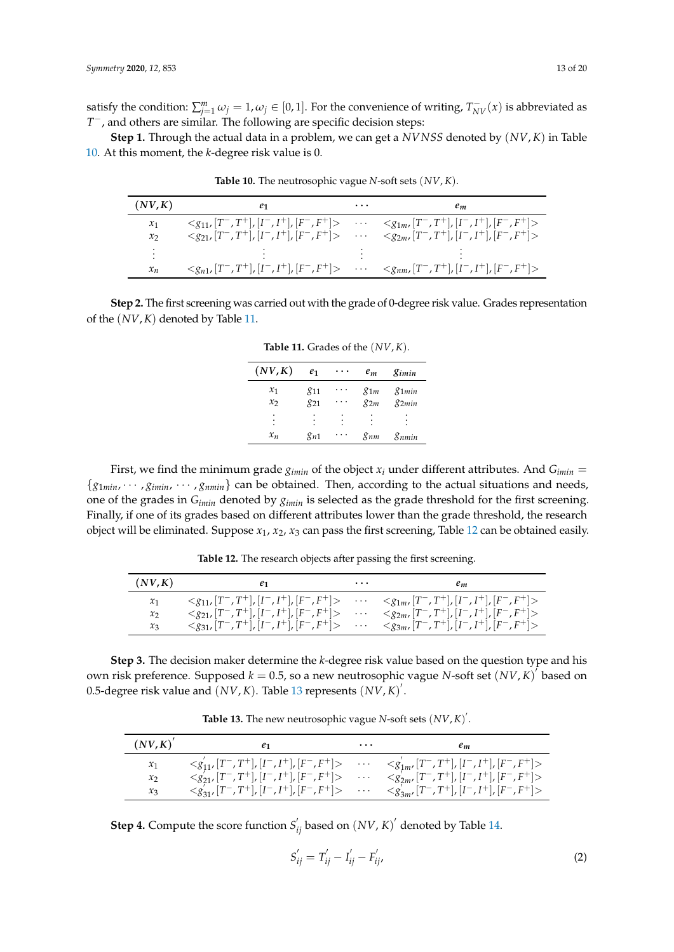satisfy the condition:  $\sum_{j=1}^{m} \omega_j = 1, \omega_j \in [0, 1]$ . For the convenience of writing,  $T_{NV}^-(x)$  is abbreviated as *T* <sup>−</sup>, and others are similar. The following are specific decision steps:

<span id="page-12-0"></span>**Step 1.** Through the actual data in a problem, we can get a *NVNSS* denoted by (*NV*, *K*) in Table [10.](#page-12-0) At this moment, the *k*-degree risk value is 0.

| (NV,K) | e1 | $\cdots$ | $e_m$                                                                                                                     |
|--------|----|----------|---------------------------------------------------------------------------------------------------------------------------|
| $x_1$  |    |          | $\langle g_{11}, [T^-, T^+], [I^-, I^+], [F^-, F^+] \rangle$ $\langle g_{1m}, [T^-, T^+], [I^-, I^+], [F^-, F^+] \rangle$ |
| $x_2$  |    |          | $\langle g_{21}, [T^-, T^+], [I^-, I^+], [F^-, F^+] \rangle$ $\langle g_{2m}, [T^-, T^+], [I^-, I^+], [F^-, F^+] \rangle$ |
| ٠      |    |          |                                                                                                                           |
| $x_n$  |    |          | $\langle g_{n1}, [T^-, T^+], [I^-, I^+], [F^-, F^+] \rangle$ $\langle g_{nm}, [T^-, T^+], [I^-, I^+], [F^-, F^+] \rangle$ |

**Table 10.** The neutrosophic vague *N*-soft sets (*NV*, *K*).

<span id="page-12-1"></span>**Step 2.** The first screening was carried out with the grade of 0-degree risk value. Grades representation of the (*NV*,*K*) denoted by Table [11.](#page-12-1)

| (NV,K)  | e <sub>1</sub> | $e_m$    | gimin                |
|---------|----------------|----------|----------------------|
| $x_1$   | $g_{11}$       | $g_{1m}$ | $g_{1min}$           |
| $x_{2}$ | $g_{21}$       | $g_{2m}$ | $g_{2min}$           |
| ٠<br>٠  | ٠              | ٠<br>٠   | $\ddot{\phantom{0}}$ |
| $x_n$   | $g_{n1}$       | gnm      | 8 nmin               |

**Table 11.** Grades of the (*NV*, *K*).

First, we find the minimum grade  $g_{imin}$  of the object  $x_i$  under different attributes. And  $G_{imin}$  =  ${g_{1min}, \cdots, g_{imin}, \cdots, g_{nmin}}$  can be obtained. Then, according to the actual situations and needs, one of the grades in *Gimin* denoted by *gimin* is selected as the grade threshold for the first screening. Finally, if one of its grades based on different attributes lower than the grade threshold, the research object will be eliminated. Suppose *x*1, *x*2, *x*<sup>3</sup> can pass the first screening, Table [12](#page-12-2) can be obtained easily.

<span id="page-12-2"></span>

| (NV,K) | e1 | $\cdots$ | $e_m$                                                                                                                         |
|--------|----|----------|-------------------------------------------------------------------------------------------------------------------------------|
| $x_1$  |    |          | $\langle g_{11}, [T^-, T^+], [I^-, I^+], [F^-, F^+] \rangle$ $\langle g_{1m}, [T^-, T^+], [I^-, I^+], [F^-, F^+] \rangle$     |
| $x_2$  |    |          | $\langle g_{21}, [T^-, T^+], [I^-, I^+], [F^-, F^+] \rangle$ $\langle g_{2m}, [T^-, T^+], [I^-, I^+], [F^-, F^+] \rangle$     |
| $x_3$  |    |          | $\langle g_{31}, [T^-, T^+] , [I^-, I^+] , [F^-, F^+] \rangle$ $\langle g_{3m}, [T^-, T^+] , [I^-, I^+] , [F^-, F^+] \rangle$ |

**Table 12.** The research objects after passing the first screening.

**Step 3.** The decision maker determine the *k*-degree risk value based on the question type and his own risk preference. Supposed  $k = 0.5$ , so a new neutrosophic vague *N*-soft set  $(NV, K)^{\hat{T}}$  based on 0.5-degree risk value and  $(NV, K)$ . Table [13](#page-12-3) represents  $(NV, K)$ <sup>'</sup>.

Table 13. The new neutrosophic vague *N*-soft sets  $(NV, K)^T$ .

<span id="page-12-3"></span>

| $(NV,K)^{'}$    | e1 | $\cdots$ | $e_m$                                                                              |
|-----------------|----|----------|------------------------------------------------------------------------------------|
| $\mathcal{X}_1$ |    |          | $\begin{array}{lllll} & & \cdots & \\ & & \cdots & \\ & & \cdots & \\ \end{array}$ |
| $x_2$           |    |          |                                                                                    |
| $x_3$           |    |          |                                                                                    |

**Step 4.** Compute the score function  $S'_{ij}$  based on  $(NV, K)'$  denoted by Table [14.](#page-13-0)

$$
S'_{ij} = T'_{ij} - I'_{ij} - F'_{ij},
$$
\t(2)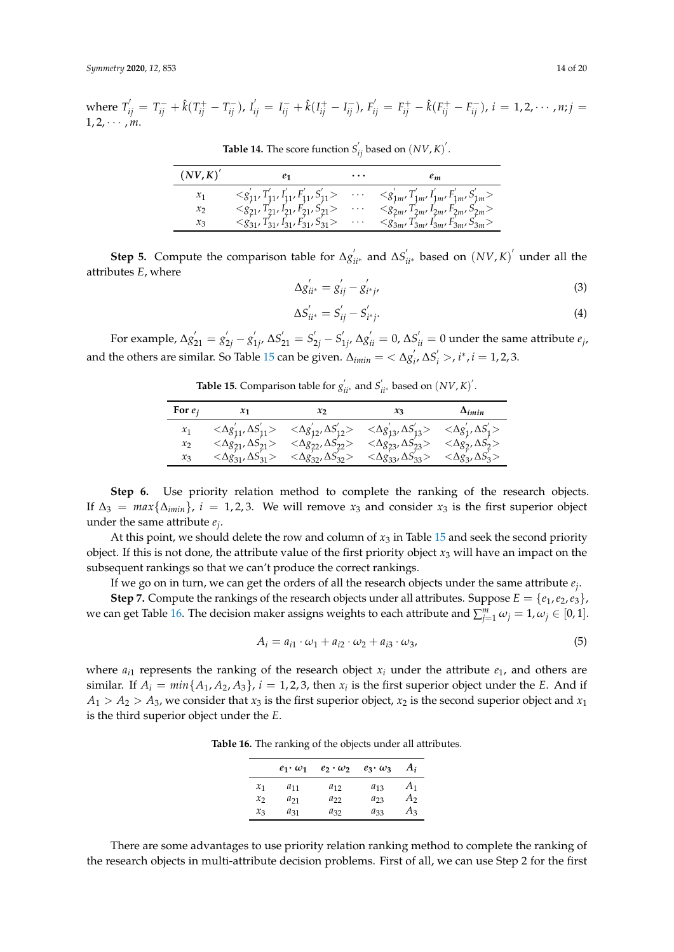<span id="page-13-0"></span>

| (NV,K)          |                                                                 | $\cdots$             | e <sub>m</sub>                                                                   |
|-----------------|-----------------------------------------------------------------|----------------------|----------------------------------------------------------------------------------|
| $\mathcal{X}_1$ | $\langle S_{11}', T_{11}', I_{11}', F_{11}', S_{11}' \rangle$   | $\ddot{\phantom{0}}$ | $\langle s'_{1m}, T'_{1m}, I'_{1m}, F'_{1m}, S'_{1m}\rangle$                     |
| $\mathcal{X}$   |                                                                 |                      | $F_{2m}^{j}$ , $S_{2m}^{j}$ ><br>$T'_{2m}, T'_{2m'}$<br>$\langle g_{2m'}\rangle$ |
| $x_3$           | $t_{31}, t_{31}, S_{31}$<br>$\langle \mathcal{L}_{31}, \rangle$ | $\cdots$             | $T'_{3m'} I'_{3m'} F'_{3m'} S''_{3m}$<br>$\leq g_{3m'}$                          |

**Table 14.** The score function  $S'_{ij}$  based on  $(NV, K)^T$ .

**Step 5.** Compute the comparison table for  $\Delta g'_{ii*}$  and  $\Delta S'_{ii*}$  based on  $(NV,K)'$  under all the attributes *E*, where

$$
\Delta g'_{ii^*} = g'_{ij} - g'_{i^*j'} \tag{3}
$$

$$
\Delta S'_{ii^*} = S'_{ij} - S'_{i^*j}.
$$
\n(4)

<span id="page-13-1"></span>For example,  $\Delta g'_{21} = g'_{2j} - g'_{2j}$  $S'_{1j'}\Delta S'_{21} = S'_{2j} - S'_{3j}$  $\Delta'_{1j'}$  ∆ $g^{'}_{ii} = 0$ , ∆ $S^{'}_{ii} = 0$  under the same attribute  $e_j$ , and the others are similar. So Table [15](#page-13-1) can be given.  $\Delta_{i min} = \langle \Delta g_i' \rangle$  $S_i^{\prime} > i^*$ ,  $i = 1, 2, 3$ .

**Table 15.** Comparison table for  $g'_{ii^*}$  and  $S'_{ii^*}$  based on  $(NV, K)'$ .

| For $e_i$ $x_1$ $x_2$ $x_3$ $\Delta_{imin}$                                                                                                                                                                                                                                                                                                                                                                                                 |  |  |
|---------------------------------------------------------------------------------------------------------------------------------------------------------------------------------------------------------------------------------------------------------------------------------------------------------------------------------------------------------------------------------------------------------------------------------------------|--|--|
| $\begin{array}{lllll} x_1 & <\!\!\Delta g_{11}',\Delta S_{11}'\!> & <\!\!\Delta g_{12}',\Delta S_{12}'\!> & <\!\!\Delta g_{13}',\Delta S_{13}'\!> & <\!\!\Delta g_{11}',\Delta S_{1}'\!> \\ x_2 & <\!\!\Delta g_{21}',\Delta S_{21}'\!> & <\!\!\Delta g_{22}',\Delta S_{22}\!> & <\!\!\Delta g_{23},\Delta S_{23}\!> & <\!\!\Delta g_{21}',\Delta S_{2}'\!> \\ x_3 & <\!\!\Delta g_{31}',\Delta S_{31}'\!> & <\!\!\Delta g_{32},\Delta S_{$ |  |  |
|                                                                                                                                                                                                                                                                                                                                                                                                                                             |  |  |
|                                                                                                                                                                                                                                                                                                                                                                                                                                             |  |  |

**Step 6.** Use priority relation method to complete the ranking of the research objects. If  $\Delta_3 = \max\{\Delta_{imin}\}\$ ,  $i = 1, 2, 3$ . We will remove  $x_3$  and consider  $x_3$  is the first superior object under the same attribute *e<sup>j</sup>* .

At this point, we should delete the row and column of  $x_3$  in Table [15](#page-13-1) and seek the second priority object. If this is not done, the attribute value of the first priority object  $x_3$  will have an impact on the subsequent rankings so that we can't produce the correct rankings.

If we go on in turn, we can get the orders of all the research objects under the same attribute *e<sup>j</sup>* .

**Step 7.** Compute the rankings of the research objects under all attributes. Suppose  $E = \{e_1, e_2, e_3\}$ , we can get Table [16.](#page-13-2) The decision maker assigns weights to each attribute and  $\sum_{j=1}^{m} \omega_j = 1, \omega_j \in [0,1].$ 

$$
A_i = a_{i1} \cdot \omega_1 + a_{i2} \cdot \omega_2 + a_{i3} \cdot \omega_3, \tag{5}
$$

<span id="page-13-2"></span>where  $a_{i1}$  represents the ranking of the research object  $x_i$  under the attribute  $e_1$ , and others are similar. If  $A_i = min\{A_1, A_2, A_3\}$ ,  $i = 1, 2, 3$ , then  $x_i$  is the first superior object under the *E*. And if  $A_1 > A_2 > A_3$ , we consider that  $x_3$  is the first superior object,  $x_2$  is the second superior object and  $x_1$ is the third superior object under the *E*.

**Table 16.** The ranking of the objects under all attributes.

|                 | $e_1 \cdot \omega_1$ | $e_2 \cdot \omega_2$ | $e_3 \cdot \omega_3$ | $A_i$ |
|-----------------|----------------------|----------------------|----------------------|-------|
| $\mathcal{X}_1$ | $a_{11}$             | $a_{12}$             | $a_{13}$             | A1    |
| $\mathcal{X}$   | $a_{21}$             | $a_{22}$             | $a_{23}$             | А2    |
| $x_3$           | $a_{31}$             | $a_{32}$             | $a_{33}$             | $A_3$ |

There are some advantages to use priority relation ranking method to complete the ranking of the research objects in multi-attribute decision problems. First of all, we can use Step 2 for the first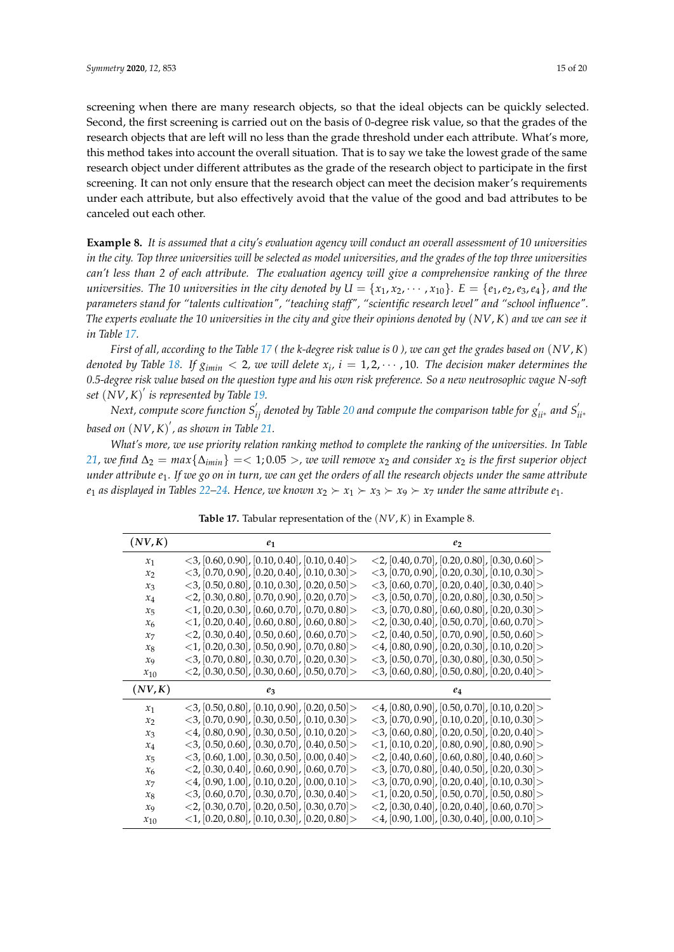screening when there are many research objects, so that the ideal objects can be quickly selected.

Second, the first screening is carried out on the basis of 0-degree risk value, so that the grades of the research objects that are left will no less than the grade threshold under each attribute. What's more, this method takes into account the overall situation. That is to say we take the lowest grade of the same research object under different attributes as the grade of the research object to participate in the first screening. It can not only ensure that the research object can meet the decision maker's requirements under each attribute, but also effectively avoid that the value of the good and bad attributes to be canceled out each other.

**Example 8.** *It is assumed that a city's evaluation agency will conduct an overall assessment of 10 universities in the city. Top three universities will be selected as model universities, and the grades of the top three universities can't less than 2 of each attribute. The evaluation agency will give a comprehensive ranking of the three universities. The 10 universities in the city denoted by*  $U = \{x_1, x_2, \dots, x_{10}\}$ *.*  $E = \{e_1, e_2, e_3, e_4\}$ *, and the parameters stand for "talents cultivation", "teaching staff", "scientific research level" and "school influence". The experts evaluate the 10 universities in the city and give their opinions denoted by* (*NV*, *K*) *and we can see it in Table [17.](#page-14-0)*

*First of all, according to the Table [17](#page-14-0) ( the k-degree risk value is 0 ), we can get the grades based on* (*NV*, *K*) *denoted by Table [18.](#page-15-0) If*  $g_{imin} < 2$ *, we will delete*  $x_i$ ,  $i = 1, 2, \cdots$  , 10. The decision maker determines the *0.5-degree risk value based on the question type and his own risk preference. So a new neutrosophic vague N-soft set* (*NV*, *K*) 0 *is represented by Table [19.](#page-15-1)*

 $N$ ext, compute score function  $S_{ij}'$  denoted by Table [20](#page-15-2) and compute the comparison table for  $g_{ii^*}'$  and  $S_{ii^*}'$ *based on* (*NV*, *K*) 0 *, as shown in Table [21.](#page-15-3)*

*What's more, we use priority relation ranking method to complete the ranking of the universities. In Table [21,](#page-15-3)* we find  $\Delta_2$  =  $max\{\Delta_{imin}\}$  = < 1;0.05 >, we will remove  $x_2$  and consider  $x_2$  is the first superior object *under attribute e*1*. If we go on in turn, we can get the orders of all the research objects under the same attribute e*<sub>1</sub> *as displayed in Tables* [22](#page-16-0)[–24.](#page-16-1) Hence, we known  $x_2 \succ x_1 \succ x_3 \succ x_9 \succ x_7$  under the same attribute  $e_1$ .

<span id="page-14-0"></span>

| (NV,K)            | e1                                                                                                                             | eэ                                                                                                                             |
|-------------------|--------------------------------------------------------------------------------------------------------------------------------|--------------------------------------------------------------------------------------------------------------------------------|
| $x_1$             | $\langle 3, [0.60, 0.90], [0.10, 0.40], [0.10, 0.40] \rangle$                                                                  | $\langle 2, [0.40, 0.70], [0.20, 0.80], [0.30, 0.60] \rangle$                                                                  |
| x <sub>2</sub>    | $\langle 3, [0.70, 0.90], [0.20, 0.40], [0.10, 0.30] \rangle$                                                                  | $\langle 3, [0.70, 0.90], [0.20, 0.30], [0.10, 0.30] \rangle$                                                                  |
| $x_3$             | $\langle 3, [0.50, 0.80], [0.10, 0.30], [0.20, 0.50] \rangle$                                                                  | $\langle 3, [0.60, 0.70], [0.20, 0.40], [0.30, 0.40] \rangle$                                                                  |
| $x_4$             | $\langle 2, [0.30, 0.80], [0.70, 0.90], [0.20, 0.70] \rangle$                                                                  | $\langle 3, [0.50, 0.70], [0.20, 0.80], [0.30, 0.50] \rangle$                                                                  |
| $x_{5}$           | $\langle 1, [0.20, 0.30], [0.60, 0.70], [0.70, 0.80] \rangle$                                                                  | $\langle 3, [0.70, 0.80], [0.60, 0.80], [0.20, 0.30] \rangle$                                                                  |
| $x_{6}$           | $\langle 1, [0.20, 0.40], [0.60, 0.80], [0.60, 0.80] \rangle$                                                                  | $\langle 2, [0.30, 0.40], [0.50, 0.70], [0.60, 0.70] \rangle$                                                                  |
| $x_7$             | $\langle 2, [0.30, 0.40], [0.50, 0.60], [0.60, 0.70] \rangle$                                                                  | $\langle 2, [0.40, 0.50], [0.70, 0.90], [0.50, 0.60] \rangle$                                                                  |
| $x_8$             | $\langle 1, [0.20, 0.30], [0.50, 0.90], [0.70, 0.80] \rangle$                                                                  | $\langle 4, [0.80, 0.90], [0.20, 0.30], [0.10, 0.20] \rangle$                                                                  |
| $x_{9}$           | $\langle 3, [0.70, 0.80], [0.30, 0.70], [0.20, 0.30] \rangle$                                                                  | $\langle 3, [0.50, 0.70], [0.30, 0.80], [0.30, 0.50] \rangle$                                                                  |
| $x_{10}$          | $\langle 2, [0.30, 0.50], [0.30, 0.60], [0.50, 0.70] \rangle$                                                                  | $\langle 3, [0.60, 0.80], [0.50, 0.80], [0.20, 0.40] \rangle$                                                                  |
|                   |                                                                                                                                |                                                                                                                                |
| (NV,K)            | eз                                                                                                                             | e4                                                                                                                             |
| $x_1$             | $<$ 3, [0.50, 0.80], [0.10, 0.90], [0.20, 0.50] >                                                                              | $\langle 4, [0.80, 0.90], [0.50, 0.70], [0.10, 0.20] \rangle$                                                                  |
| $\mathcal{X}_{2}$ | $\langle 3, [0.70, 0.90], [0.30, 0.50], [0.10, 0.30] \rangle$                                                                  | $\langle 3, [0.70, 0.90], [0.10, 0.20], [0.10, 0.30] \rangle$                                                                  |
| $x_3$             | $\langle 4, [0.80, 0.90], [0.30, 0.50], [0.10, 0.20] \rangle$                                                                  | $<$ 3, [0.60, 0.80], [0.20, 0.50], [0.20, 0.40] >                                                                              |
| $x_4$             | $<$ 3, [0.50, 0.60], [0.30, 0.70], [0.40, 0.50] >                                                                              | $\langle 1, [0.10, 0.20], [0.80, 0.90], [0.80, 0.90] \rangle$                                                                  |
| $x_{5}$           | $\langle 3, [0.60, 1.00], [0.30, 0.50], [0.00, 0.40] \rangle$                                                                  | $\langle 2, [0.40, 0.60], [0.60, 0.80], [0.40, 0.60] \rangle$                                                                  |
| $x_{6}$           | $\langle 2, [0.30, 0.40], [0.60, 0.90], [0.60, 0.70] \rangle$                                                                  | $\langle 3, [0.70, 0.80], [0.40, 0.50], [0.20, 0.30] \rangle$                                                                  |
| $x_7$             | $\langle 4, [0.90, 1.00], [0.10, 0.20], [0.00, 0.10] \rangle$                                                                  | $\langle 3, [0.70, 0.90], [0.20, 0.40], [0.10, 0.30] \rangle$                                                                  |
| $x_8$             | $<$ 3, [0.60, 0.70], [0.30, 0.70], [0.30, 0.40] >                                                                              | $\langle 1, [0.20, 0.50], [0.50, 0.70], [0.50, 0.80] \rangle$                                                                  |
| $x_{9}$           | $\langle 2, [0.30, 0.70], [0.20, 0.50], [0.30, 0.70] \rangle$<br>$\langle 1, [0.20, 0.80], [0.10, 0.30], [0.20, 0.80] \rangle$ | $\langle 2, [0.30, 0.40], [0.20, 0.40], [0.60, 0.70] \rangle$<br>$\langle 4, [0.90, 1.00], [0.30, 0.40], [0.00, 0.10] \rangle$ |

**Table 17.** Tabular representation of the (*NV*, *K*) in Example 8.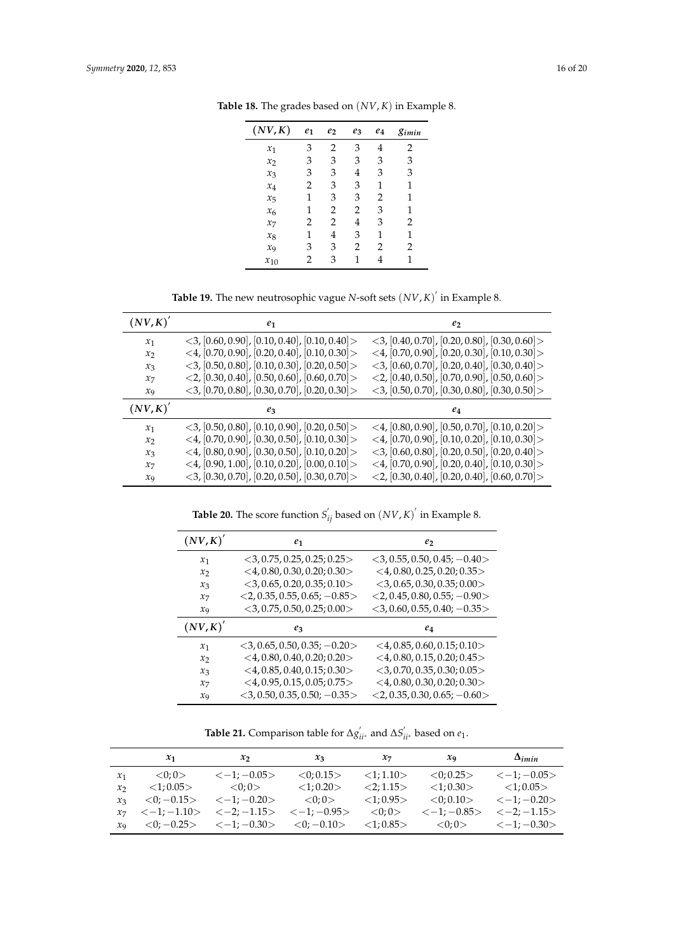| (NV,K)      | $e_1$ | e <sub>2</sub> | $e_3$ | $e_4$ | gimin |
|-------------|-------|----------------|-------|-------|-------|
| $x_1$       | 3     | $\overline{2}$ | 3     | 4     | 2     |
| $x_2$       | 3     | 3              | 3     | 3     | 3     |
| $x_3$       | 3     | 3              | 4     | 3     | 3     |
| $x_4$       | 2     | 3              | 3     | 1     | 1     |
| $x_{5}$     | 1     | 3              | 3     | 2     | 1     |
| $x_{\rm 6}$ | 1     | 2              | 2     | 3     | 1     |
| $x_7$       | 2     | 2              | 4     | 3     | 2     |
| $x_8$       | 1     | 4              | 3     | 1     | 1     |
| $x_{9}$     | 3     | 3              | 2     | 2     | 2     |
| $x_{10}$    | 2     | 3              | 1     | 4     |       |

<span id="page-15-0"></span>**Table 18.** The grades based on (*NV*, *K*) in Example 8.

**Table 19.** The new neutrosophic vague *N*-soft sets  $(NV, K)^{'}$  in Example 8.

<span id="page-15-1"></span>

| $\left( NV, K \right)^{2}$ | $e_1$                                                         | e <sub>2</sub>                                                |
|----------------------------|---------------------------------------------------------------|---------------------------------------------------------------|
| $x_1$                      | $\langle 3, [0.60, 0.90], [0.10, 0.40], [0.10, 0.40] \rangle$ | $\langle 3, [0.40, 0.70], [0.20, 0.80], [0.30, 0.60] \rangle$ |
| $\mathcal{X}$              | $\langle 4, [0.70, 0.90], [0.20, 0.40], [0.10, 0.30] \rangle$ | $\langle 4, [0.70, 0.90], [0.20, 0.30], [0.10, 0.30] \rangle$ |
| $x_3$                      | $\langle 3, [0.50, 0.80], [0.10, 0.30], [0.20, 0.50] \rangle$ | $\langle 3, [0.60, 0.70], [0.20, 0.40], [0.30, 0.40] \rangle$ |
| $x_7$                      | $\langle 2, [0.30, 0.40], [0.50, 0.60], [0.60, 0.70] \rangle$ | $\langle 2, [0.40, 0.50], [0.70, 0.90], [0.50, 0.60] \rangle$ |
| $x_9$                      | $\langle 3, [0.70, 0.80], [0.30, 0.70], [0.20, 0.30] \rangle$ | $\langle 3, [0.50, 0.70], [0.30, 0.80], [0.30, 0.50] \rangle$ |
|                            |                                                               |                                                               |
| $(NV, K)^{'}$              | $e_3$                                                         | ea                                                            |
| $x_1$                      | $\langle 3, [0.50, 0.80], [0.10, 0.90], [0.20, 0.50] \rangle$ | $\langle 4, [0.80, 0.90], [0.50, 0.70], [0.10, 0.20] \rangle$ |
| x <sub>2</sub>             | <4, $[0.70, 0.90]$ , $[0.30, 0.50]$ , $[0.10, 0.30]$          | $\langle 4, [0.70, 0.90], [0.10, 0.20], [0.10, 0.30] \rangle$ |
| $x_3$                      | $\langle 4, [0.80, 0.90], [0.30, 0.50], [0.10, 0.20] \rangle$ | $\langle 3, [0.60, 0.80], [0.20, 0.50], [0.20, 0.40] \rangle$ |
| $x_7$                      | $\langle 4, [0.90, 1.00], [0.10, 0.20], [0.00, 0.10] \rangle$ | $\langle 4, [0.70, 0.90], [0.20, 0.40], [0.10, 0.30] \rangle$ |

**Table 20.** The score function  $S'_{ij}$  based on  $(NV, K)'$  in Example 8.

<span id="page-15-2"></span>

| (NV,K)'           | e1                                 | e <sub>2</sub>                     |
|-------------------|------------------------------------|------------------------------------|
| $x_1$             | $<$ 3, 0.75, 0.25, 0.25; 0.25 $>$  | $<$ 3, 0.55, 0.50, 0.45; $-0.40$   |
| $\mathcal{X}_{2}$ | $<$ 4, 0.80, 0.30, 0.20; 0.30 >    | $<$ 4, 0.80, 0.25, 0.20; 0.35 $>$  |
| $x_3$             | $<$ 3, 0.65, 0.20, 0.35; 0.10 $>$  | $<$ 3, 0.65, 0.30, 0.35; 0.00 $>$  |
| $x_7$             | $<$ 2, 0.35, 0.55, 0.65; -0.85 $>$ | $<$ 2, 0.45, 0.80, 0.55; -0.90 >   |
| $x_{9}$           | $<$ 3, 0.75, 0.50, 0.25; 0.00 $>$  | $<$ 3, 0.60, 0.55, 0.40; -0.35 $>$ |
|                   |                                    |                                    |
| (NV,K)'           | $e_3$                              | e4                                 |
| $x_1$             | $<$ 3, 0.65, 0.50, 0.35; -0.20 $>$ | $<$ 4, 0.85, 0.60, 0.15; 0.10 $>$  |
| $x_{2}$           | $<$ 4, 0.80, 0.40, 0.20; 0.20 $>$  | $<$ 4, 0.80, 0.15, 0.20; 0.45 $>$  |
| $x_3$             | $<$ 4, 0.85, 0.40, 0.15; 0.30 $>$  | $<$ 3, 0.70, 0.35, 0.30; 0.05 $>$  |
| $x_7$             | $<$ 4, 0.95, 0.15, 0.05; 0.75 >    | $<$ 4, 0.80, 0.30, 0.20; 0.30 >    |

**Table 21.** Comparison table for  $\Delta g'_{ii}$ \* and  $\Delta S'_{ii}$ \* based on  $e_1$ .

<span id="page-15-3"></span>

|                   | $\mathcal{X}_1$ | $x_2$                                                                                                                                                                    | $x_3$           | $\mathcal{X}$ 7 | $x_{9}$                  | $\Delta_{imin}$                                     |
|-------------------|-----------------|--------------------------------------------------------------------------------------------------------------------------------------------------------------------------|-----------------|-----------------|--------------------------|-----------------------------------------------------|
| $\mathcal{X}_1$   | $<\!\!0;0\!\!>$ | $<-1;-0.05>$                                                                                                                                                             | $<$ 0:0.15 $>$  | <1:1.10>        | $<$ 0:0.25 $>$           | $<-1; -0.05>$                                       |
| $\mathcal{X}_{2}$ | $<$ 1;0.05 $>$  | $<0;0>$ $<1;0.20>$                                                                                                                                                       |                 | <2:1.15>        |                          | $\langle 1; 0.30 \rangle$ $\langle 1; 0.05 \rangle$ |
| $\chi_3$          |                 | $<0$ ; $-0.15$ > $<-1$ ; $-0.20$ >                                                                                                                                       | $<\!\!0.0\!\!>$ | $<$ 1;0.95 $>$  | $<\!\!\theta$ : 0.10 $>$ | $<-1:-0.20>$                                        |
|                   |                 | $x_7$ $\langle -1; -1.10 \rangle$ $\langle -2; -1.15 \rangle$ $\langle -1; -0.95 \rangle$ $\langle 0; 0 \rangle$ $\langle -1; -0.85 \rangle$ $\langle -2; -1.15 \rangle$ |                 |                 |                          |                                                     |
| $\chi_{\rm Q}$    |                 | $\langle 0; -0.25 \rangle$ $\langle -1; -0.30 \rangle$ $\langle 0; -0.10 \rangle$ $\langle 1; 0.85 \rangle$ $\langle 0; 0 \rangle$ $\langle -1; -0.30 \rangle$           |                 |                 |                          |                                                     |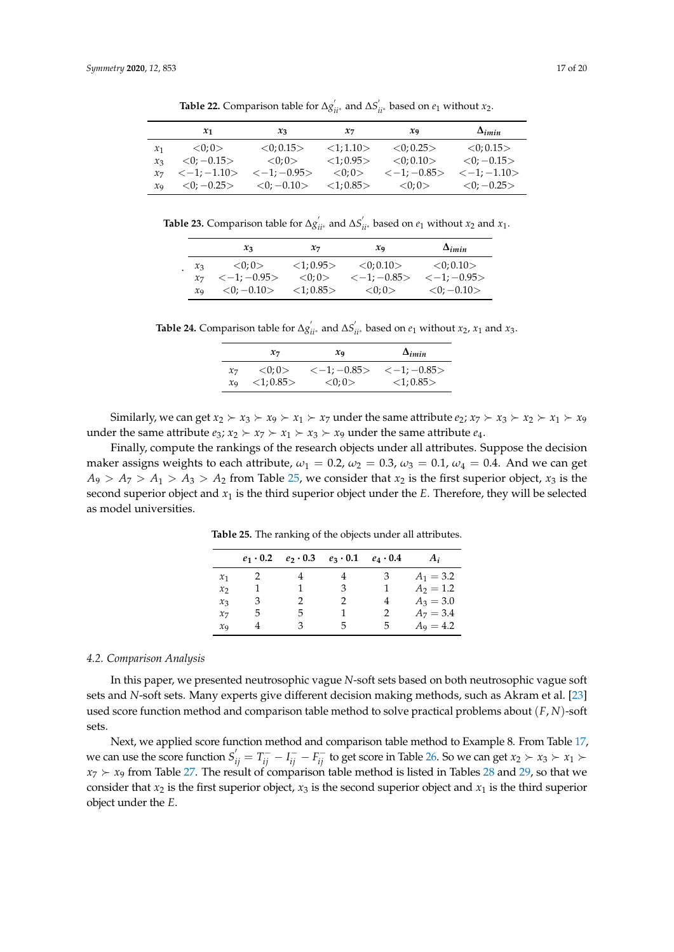<span id="page-16-0"></span>

|                 | $\mathcal{X}_1$             | $x_3$                   | $\mathcal{X}$ 7 | $x_{9}$         | $\Delta_{imin}$             |
|-----------------|-----------------------------|-------------------------|-----------------|-----------------|-----------------------------|
| $\mathcal{X}_1$ | < 0: 0 >                    | $<$ 0:0.15 $>$          | <1:1.10>        | < 0.025 >       | $<$ 0:0.15 $>$              |
| $x_{3}$         | $<$ 0; $-0.15>$             | $<\!\!0:0\!\!>$         | <1:0.95>        | < 0.10          | $< 0$ : $-0.15$             |
| $\chi_{7}$      | $\langle -1; -1.10 \rangle$ | $<-1; -0.95>$           | $<\!\!0:0\!\!>$ | $<-1;-0.85>$    | $\langle -1; -1.10 \rangle$ |
| $\chi_{\rm Q}$  | $<\!\theta$ : $-0.25\!\geq$ | $<\!\!0$ ; $-0.10\!\!>$ | <1:0.85>        | $<\!\!0:0\!\!>$ | $<\!\theta$ : $-0.25\!\geq$ |

**Table 22.** Comparison table for  $\Delta g'_{ii*}$  and  $\Delta S'_{ii*}$  based on  $e_1$  without  $x_2$ .

**Table 23.** Comparison table for  $\Delta g'_{ii*}$  and  $\Delta S'_{ii*}$  based on  $e_1$  without  $x_2$  and  $x_1$ .

|   |                     | $x_3$                                          | $\mathcal{X}$ 7   | $x_{9}$                                               | $\Delta_{imin}$                 |
|---|---------------------|------------------------------------------------|-------------------|-------------------------------------------------------|---------------------------------|
| ٠ | $x_3$<br>$\chi_{7}$ | $<\!\!0:0\!\!>$<br>$\langle -1; -0.95 \rangle$ | <1:0.95><br><0:0> | $<\!\theta$ : 0.10 $>$<br>$\langle -1; -0.85 \rangle$ | $<$ 0:0.10 $>$<br>$<-1; -0.95>$ |
|   | $\chi_{\rm Q}$      | $<$ 0; $-$ 0.10 $>$                            | <1:0.85>          | <0:0>                                                 | $<\!\theta$ ; $-0.10\!\geq$     |

<span id="page-16-1"></span>**Table 24.** Comparison table for  $\Delta g'_{ii*}$  and  $\Delta S'_{ii*}$  based on  $e_1$  without  $x_2$ ,  $x_1$  and  $x_3$ .

|                            | $\mathcal{X}$ 7 | $\mathbf{x}_9$              | $\Delta_{imin}$ |
|----------------------------|-----------------|-----------------------------|-----------------|
| $\chi_7$                   | < 0: 0 >        | $\langle -1; -0.85 \rangle$ | $<-1:-0.85>$    |
| $\mathcal{X}_{\mathbf{Q}}$ | $<$ 1;0.85 $>$  | $<\!\!0;0\!\!>$             | $<$ 1;0.85 $>$  |

Similarly, we can get  $x_2 \succ x_3 \succ x_9 \succ x_1 \succ x_7$  under the same attribute  $e_2$ ;  $x_7 \succ x_3 \succ x_2 \succ x_1 \succ x_9$ under the same attribute  $e_3$ ;  $x_2 \succ x_7 \succ x_1 \succ x_3 \succ x_9$  under the same attribute  $e_4$ .

<span id="page-16-2"></span>Finally, compute the rankings of the research objects under all attributes. Suppose the decision maker assigns weights to each attribute,  $\omega_1 = 0.2$ ,  $\omega_2 = 0.3$ ,  $\omega_3 = 0.1$ ,  $\omega_4 = 0.4$ . And we can get  $A_9 > A_7 > A_1 > A_3 > A_2$  from Table [25,](#page-16-2) we consider that  $x_2$  is the first superior object,  $x_3$  is the second superior object and *x*<sup>1</sup> is the third superior object under the *E*. Therefore, they will be selected as model universities.

|                 | $e_1 \cdot 0.2$ |    | $e_2 \cdot 0.3$ $e_3 \cdot 0.1$ $e_4 \cdot 0.4$ |   | A <sub>i</sub> |
|-----------------|-----------------|----|-------------------------------------------------|---|----------------|
| $\mathcal{X}_1$ |                 |    |                                                 | 3 | $A_1 = 3.2$    |
| $\mathcal{X}$   |                 |    | 3                                               |   | $A_2 = 1.2$    |
| $x_3$           | 3               | 2. | 2                                               |   | $A_3 = 3.0$    |
| $\chi_7$        | 5               | 5. |                                                 | 2 | $A_7 = 3.4$    |
| $\chi_{\rm Q}$  |                 | 3  | 5                                               | 5 | $A_9 = 4.2$    |

**Table 25.** The ranking of the objects under all attributes.

#### *4.2. Comparison Analysis*

In this paper, we presented neutrosophic vague *N*-soft sets based on both neutrosophic vague soft sets and *N*-soft sets. Many experts give different decision making methods, such as Akram et al. [\[23\]](#page-19-1) used score function method and comparison table method to solve practical problems about (*F*, *N*)-soft sets.

Next, we applied score function method and comparison table method to Example 8. From Table [17,](#page-14-0) we can use the score function  $S'_{ij} = T_{ij}^- - I_{ij}^- - F_{ij}^-$  to get score in Table [26.](#page-17-1) So we can get  $x_2 > x_3 > x_1 >$  $x_7 \succ x_9$  from Table [27.](#page-17-2) The result of comparison table method is listed in Tables [28](#page-17-3) and [29,](#page-17-4) so that we consider that  $x_2$  is the first superior object,  $x_3$  is the second superior object and  $x_1$  is the third superior object under the *E*.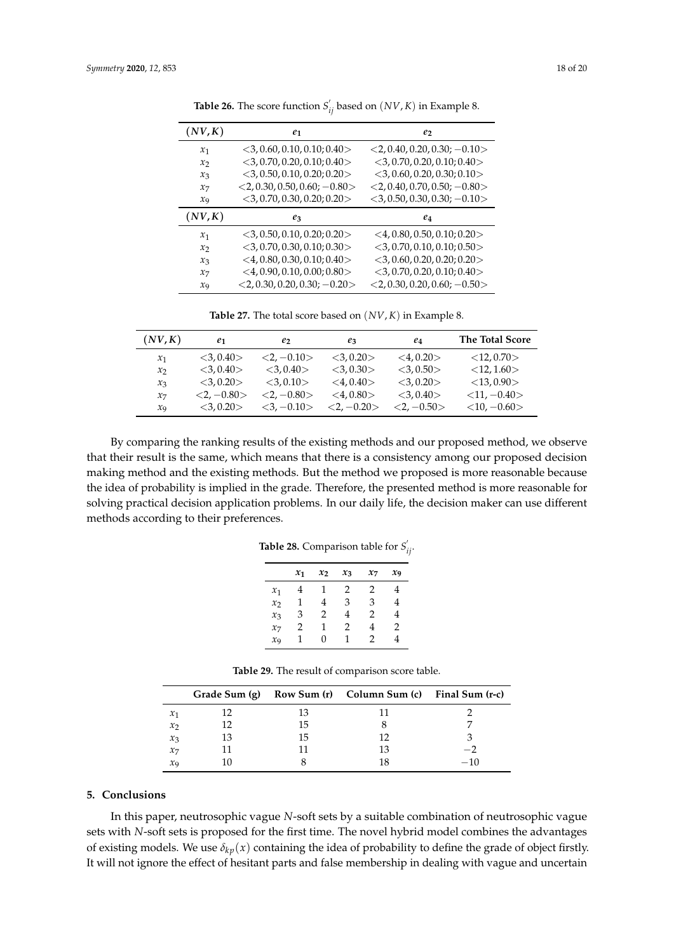<span id="page-17-1"></span>

| (NV,K)         | $e_1$                             | e <sub>2</sub>                    |
|----------------|-----------------------------------|-----------------------------------|
| $x_1$          | $<$ 3, 0.60, 0.10, 0.10; 0.40 $>$ | $<$ 2, 0.40, 0.20, 0.30; -0.10 >  |
| x <sub>2</sub> | $<$ 3, 0.70, 0.20, 0.10; 0.40 $>$ | $<$ 3,0.70,0.20,0.10;0.40 $>$     |
| $x_3$          | $<$ 3, 0.50, 0.10, 0.20; 0.20 $>$ | $<$ 3, 0.60, 0.20, 0.30; 0.10 $>$ |
| $x_7$          | $<$ 2, 0.30, 0.50, 0.60; -0.80 >  | $<$ 2, 0.40, 0.70, 0.50; -0.80 >  |
| $x_{9}$        | $<$ 3, 0.70, 0.30, 0.20; 0.20 $>$ | $<$ 3, 0.50, 0.30, 0.30; -0.10 >  |
| (NV,K)         | $e_3$                             | $e_4$                             |
| $x_1$          | $<$ 3, 0.50, 0.10, 0.20; 0.20 $>$ | $<$ 4, 0.80, 0.50, 0.10; 0.20 $>$ |
| x <sub>2</sub> | $<$ 3, 0.70, 0.30, 0.10; 0.30 $>$ | $<$ 3,0.70,0.10,0.10;0.50 $>$     |
| $x_3$          | $<$ 4, 0.80, 0.30, 0.10; 0.40 >   | $<$ 3, 0.60, 0.20, 0.20; 0.20 $>$ |
| $x_7$          | $<$ 4, 0.90, 0.10, 0.00; 0.80 >   | $<$ 3,0.70,0.20,0.10;0.40 $>$     |
| $x_{9}$        | $<$ 2, 0.30, 0.20, 0.30; $-0.20$  | $<$ 2, 0.30, 0.20, 0.60; $-0.50$  |

**Table 26.** The score function  $S'_{ij}$  based on  $(NV, K)$  in Example 8.

**Table 27.** The total score based on (*NV*, *K*) in Example 8.

<span id="page-17-2"></span>

| (NV,K)            | e1             | e2                  | $e_3$              | $e_4$          | <b>The Total Score</b> |
|-------------------|----------------|---------------------|--------------------|----------------|------------------------|
| $x_1$             | < 3.0.40       | $<2. -0.10>$        | $<\!\!3.0.20\!\!>$ | $<$ 4,0.20 $>$ | $<$ 12,0.70 $>$        |
| $\mathcal{X}_{2}$ | $<$ 3.0.40 $>$ | $<\!\!3.0.40\!\!>$  | $<\!\!3.030\!\!>$  | $<$ 3.0.50 $>$ | <12, 1.60>             |
| $x_3$             | $<$ 3.0.20 $>$ | $<$ 3.0.10 $>$      | $<\,4.0.40\right>$ | $<$ 3.0.20 $>$ | $<$ 13,0.90 $>$        |
| $\chi_7$          | $<2. -0.80>$   | $<2. -0.80>$        | $<$ 4.0.80 $>$     | $<$ 3.0.40 $>$ | $<11, -0.40>$          |
| $\mathfrak{X}_9$  | <3.0.20>       | $<\!\!3,-0.10\!\!>$ | $<2, -0.20>$       | $<2. -0.50>$   | $<$ 10, $-0.60>$       |

<span id="page-17-3"></span>By comparing the ranking results of the existing methods and our proposed method, we observe that their result is the same, which means that there is a consistency among our proposed decision making method and the existing methods. But the method we proposed is more reasonable because the idea of probability is implied in the grade. Therefore, the presented method is more reasonable for solving practical decision application problems. In our daily life, the decision maker can use different methods according to their preferences.

|  | <b>Table 28.</b> Comparison table for $S'_{ij}$ . |  |  |  |
|--|---------------------------------------------------|--|--|--|
|--|---------------------------------------------------|--|--|--|

|                   | $x_1$ | $x_2$ | $x_3$ | $x_7$ | $x_{9}$        |
|-------------------|-------|-------|-------|-------|----------------|
| $\mathcal{X}_1$   |       | ı     | 2     | 2     | 4              |
| $x_2$             | 1     | 4     | 3     | 3     | 4              |
| $x_3$             | 3     | 2     | 4     | 2     | 4              |
| $x_7$             | 2     | 1     | 2     | 4     | $\mathfrak{D}$ |
| $\chi_{\text{Q}}$ | 1     | 0     | 1     | 2     | 4              |

| <b>Table 29.</b> The result of comparison score table. |  |  |
|--------------------------------------------------------|--|--|
|--------------------------------------------------------|--|--|

<span id="page-17-4"></span>

|                            |    |    | Grade Sum (g) Row Sum (r) Column Sum (c) Final Sum (r-c) |     |
|----------------------------|----|----|----------------------------------------------------------|-----|
| $\mathcal{X}_1$            |    | 13 |                                                          |     |
| $\mathcal{X}$              | 12 | 15 |                                                          |     |
| $x_3$                      | 13 | 15 |                                                          |     |
| $x_7$                      |    |    | 13                                                       |     |
| $\mathcal{X}_{\mathbf{Q}}$ |    |    |                                                          | -10 |

#### <span id="page-17-0"></span>**5. Conclusions**

In this paper, neutrosophic vague *N*-soft sets by a suitable combination of neutrosophic vague sets with *N*-soft sets is proposed for the first time. The novel hybrid model combines the advantages of existing models. We use  $\delta_{kn}(x)$  containing the idea of probability to define the grade of object firstly. It will not ignore the effect of hesitant parts and false membership in dealing with vague and uncertain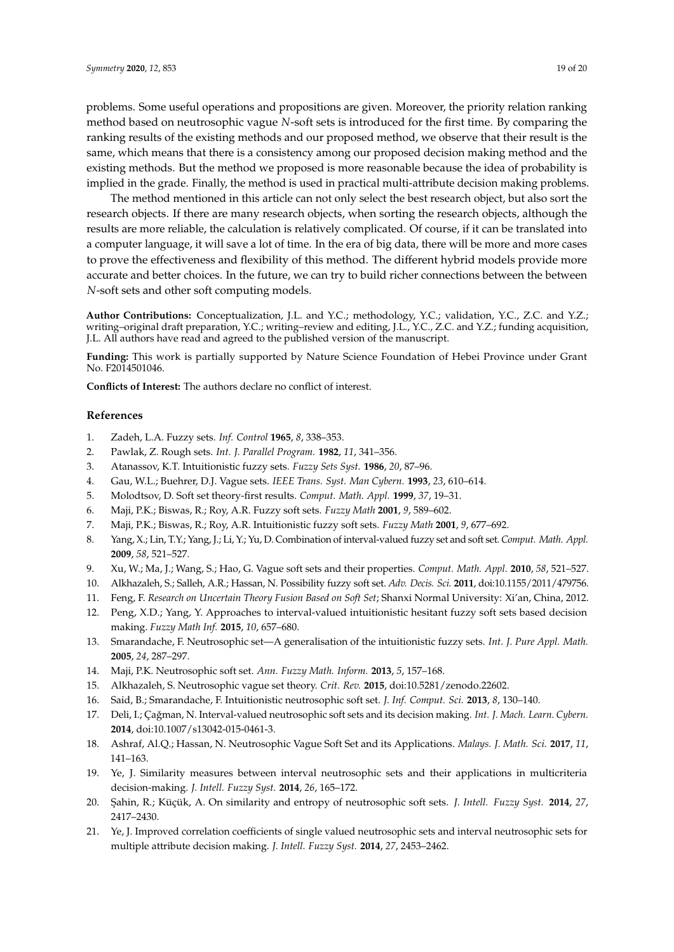problems. Some useful operations and propositions are given. Moreover, the priority relation ranking method based on neutrosophic vague *N*-soft sets is introduced for the first time. By comparing the ranking results of the existing methods and our proposed method, we observe that their result is the same, which means that there is a consistency among our proposed decision making method and the existing methods. But the method we proposed is more reasonable because the idea of probability is implied in the grade. Finally, the method is used in practical multi-attribute decision making problems.

The method mentioned in this article can not only select the best research object, but also sort the research objects. If there are many research objects, when sorting the research objects, although the results are more reliable, the calculation is relatively complicated. Of course, if it can be translated into a computer language, it will save a lot of time. In the era of big data, there will be more and more cases to prove the effectiveness and flexibility of this method. The different hybrid models provide more accurate and better choices. In the future, we can try to build richer connections between the between *N*-soft sets and other soft computing models.

**Author Contributions:** Conceptualization, J.L. and Y.C.; methodology, Y.C.; validation, Y.C., Z.C. and Y.Z.; writing–original draft preparation, Y.C.; writing–review and editing, J.L., Y.C., Z.C. and Y.Z.; funding acquisition, J.L. All authors have read and agreed to the published version of the manuscript.

**Funding:** This work is partially supported by Nature Science Foundation of Hebei Province under Grant No. F2014501046.

**Conflicts of Interest:** The authors declare no conflict of interest.

## **References**

- <span id="page-18-0"></span>1. Zadeh, L.A. Fuzzy sets. *Inf. Control* **1965**, *8*, 338–353.
- <span id="page-18-1"></span>2. Pawlak, Z. Rough sets. *Int. J. Parallel Program.* **1982**, *11*, 341–356.
- <span id="page-18-2"></span>3. Atanassov, K.T. Intuitionistic fuzzy sets. *Fuzzy Sets Syst.* **1986**, *20*, 87–96.
- <span id="page-18-3"></span>4. Gau, W.L.; Buehrer, D.J. Vague sets. *IEEE Trans. Syst. Man Cybern.* **1993**, *23*, 610–614.
- <span id="page-18-4"></span>5. Molodtsov, D. Soft set theory-first results. *Comput. Math. Appl.* **1999**, *37*, 19–31.
- <span id="page-18-5"></span>6. Maji, P.K.; Biswas, R.; Roy, A.R. Fuzzy soft sets. *Fuzzy Math* **2001**, *9*, 589–602.
- <span id="page-18-6"></span>7. Maji, P.K.; Biswas, R.; Roy, A.R. Intuitionistic fuzzy soft sets. *Fuzzy Math* **2001**, *9*, 677–692.
- <span id="page-18-7"></span>8. Yang, X.; Lin, T.Y.; Yang, J.; Li, Y.; Yu, D. Combination of interval-valued fuzzy set and soft set. *Comput. Math. Appl.* **2009**, *58*, 521–527.
- <span id="page-18-8"></span>9. Xu, W.; Ma, J.; Wang, S.; Hao, G. Vague soft sets and their properties. *Comput. Math. Appl.* **2010**, *58*, 521–527.
- <span id="page-18-9"></span>10. Alkhazaleh, S.; Salleh, A.R.; Hassan, N. Possibility fuzzy soft set. *Adv. Decis. Sci.* **2011**, doi:10.1155/2011/479756.
- <span id="page-18-10"></span>11. Feng, F. *Research on Uncertain Theory Fusion Based on Soft Set*; Shanxi Normal University: Xi'an, China, 2012.
- <span id="page-18-11"></span>12. Peng, X.D.; Yang, Y. Approaches to interval-valued intuitionistic hesitant fuzzy soft sets based decision making. *Fuzzy Math Inf.* **2015**, *10*, 657–680.
- <span id="page-18-12"></span>13. Smarandache, F. Neutrosophic set—A generalisation of the intuitionistic fuzzy sets. *Int. J. Pure Appl. Math.* **2005**, *24*, 287–297.
- <span id="page-18-13"></span>14. Maji, P.K. Neutrosophic soft set. *Ann. Fuzzy Math. Inform.* **2013**, *5*, 157–168.
- <span id="page-18-15"></span><span id="page-18-14"></span>15. Alkhazaleh, S. Neutrosophic vague set theory. *Crit. Rev.* **2015**, doi:10.5281/zenodo.22602.
- <span id="page-18-16"></span>16. Said, B.; Smarandache, F. Intuitionistic neutrosophic soft set. *J. Inf. Comput. Sci.* **2013**, *8*, 130–140.
- 17. Deli, I.; Çağman, N. Interval-valued neutrosophic soft sets and its decision making. *Int. J. Mach. Learn. Cybern.* **2014**, doi:10.1007/s13042-015-0461-3.
- <span id="page-18-17"></span>18. Ashraf, Al.Q.; Hassan, N. Neutrosophic Vague Soft Set and its Applications. *Malays. J. Math. Sci.* **2017**, *11*, 141–163.
- <span id="page-18-18"></span>19. Ye, J. Similarity measures between interval neutrosophic sets and their applications in multicriteria decision-making. *J. Intell. Fuzzy Syst.* **2014**, *26*, 165–172.
- <span id="page-18-19"></span>20. ¸Sahin, R.; Küçük, A. On similarity and entropy of neutrosophic soft sets. *J. Intell. Fuzzy Syst.* **2014**, *27*, 2417–2430.
- <span id="page-18-20"></span>21. Ye, J. Improved correlation coefficients of single valued neutrosophic sets and interval neutrosophic sets for multiple attribute decision making. *J. Intell. Fuzzy Syst.* **2014**, *27*, 2453–2462.